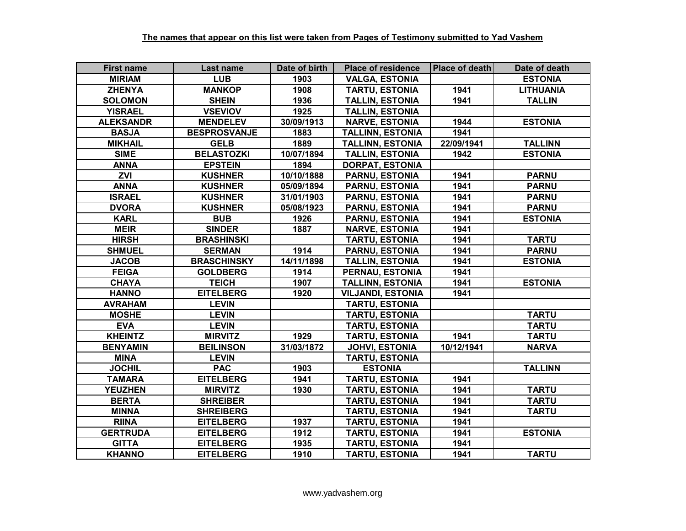| <b>First name</b> | Last name           | Date of birth | <b>Place of residence</b> | <b>Place of death</b> | Date of death    |
|-------------------|---------------------|---------------|---------------------------|-----------------------|------------------|
| <b>MIRIAM</b>     | <b>LUB</b>          | 1903          | <b>VALGA, ESTONIA</b>     |                       | <b>ESTONIA</b>   |
| <b>ZHENYA</b>     | <b>MANKOP</b>       | 1908          | <b>TARTU, ESTONIA</b>     | 1941                  | <b>LITHUANIA</b> |
| <b>SOLOMON</b>    | <b>SHEIN</b>        | 1936          | <b>TALLIN, ESTONIA</b>    | 1941                  | <b>TALLIN</b>    |
| <b>YISRAEL</b>    | <b>VSEVIOV</b>      | 1925          | <b>TALLIN, ESTONIA</b>    |                       |                  |
| <b>ALEKSANDR</b>  | <b>MENDELEV</b>     | 30/09/1913    | <b>NARVE, ESTONIA</b>     | 1944                  | <b>ESTONIA</b>   |
| <b>BASJA</b>      | <b>BESPROSVANJE</b> | 1883          | <b>TALLINN, ESTONIA</b>   | 1941                  |                  |
| <b>MIKHAIL</b>    | <b>GELB</b>         | 1889          | <b>TALLINN, ESTONIA</b>   | 22/09/1941            | <b>TALLINN</b>   |
| <b>SIME</b>       | <b>BELASTOZKI</b>   | 10/07/1894    | <b>TALLIN, ESTONIA</b>    | 1942                  | <b>ESTONIA</b>   |
| <b>ANNA</b>       | <b>EPSTEIN</b>      | 1894          | <b>DORPAT, ESTONIA</b>    |                       |                  |
| ZVI               | <b>KUSHNER</b>      | 10/10/1888    | <b>PARNU, ESTONIA</b>     | 1941                  | <b>PARNU</b>     |
| <b>ANNA</b>       | <b>KUSHNER</b>      | 05/09/1894    | <b>PARNU, ESTONIA</b>     | 1941                  | <b>PARNU</b>     |
| <b>ISRAEL</b>     | <b>KUSHNER</b>      | 31/01/1903    | <b>PARNU, ESTONIA</b>     | 1941                  | <b>PARNU</b>     |
| <b>DVORA</b>      | <b>KUSHNER</b>      | 05/08/1923    | <b>PARNU, ESTONIA</b>     | 1941                  | <b>PARNU</b>     |
| <b>KARL</b>       | <b>BUB</b>          | 1926          | <b>PARNU, ESTONIA</b>     | 1941                  | <b>ESTONIA</b>   |
| <b>MEIR</b>       | <b>SINDER</b>       | 1887          | <b>NARVE, ESTONIA</b>     | 1941                  |                  |
| <b>HIRSH</b>      | <b>BRASHINSKI</b>   |               | <b>TARTU, ESTONIA</b>     | 1941                  | <b>TARTU</b>     |
| <b>SHMUEL</b>     | <b>SERMAN</b>       | 1914          | <b>PARNU, ESTONIA</b>     | 1941                  | <b>PARNU</b>     |
| <b>JACOB</b>      | <b>BRASCHINSKY</b>  | 14/11/1898    | <b>TALLIN, ESTONIA</b>    | 1941                  | <b>ESTONIA</b>   |
| <b>FEIGA</b>      | <b>GOLDBERG</b>     | 1914          | PERNAU, ESTONIA           | 1941                  |                  |
| <b>CHAYA</b>      | <b>TEICH</b>        | 1907          | <b>TALLINN, ESTONIA</b>   | 1941                  | <b>ESTONIA</b>   |
| <b>HANNO</b>      | <b>EITELBERG</b>    | 1920          | <b>VILJANDI, ESTONIA</b>  | 1941                  |                  |
| <b>AVRAHAM</b>    | <b>LEVIN</b>        |               | <b>TARTU, ESTONIA</b>     |                       |                  |
| <b>MOSHE</b>      | <b>LEVIN</b>        |               | <b>TARTU, ESTONIA</b>     |                       | <b>TARTU</b>     |
| <b>EVA</b>        | <b>LEVIN</b>        |               | <b>TARTU, ESTONIA</b>     |                       | <b>TARTU</b>     |
| <b>KHEINTZ</b>    | <b>MIRVITZ</b>      | 1929          | <b>TARTU, ESTONIA</b>     | 1941                  | <b>TARTU</b>     |
| <b>BENYAMIN</b>   | <b>BEILINSON</b>    | 31/03/1872    | <b>JOHVI, ESTONIA</b>     | 10/12/1941            | <b>NARVA</b>     |
| <b>MINA</b>       | <b>LEVIN</b>        |               | <b>TARTU, ESTONIA</b>     |                       |                  |
| <b>JOCHIL</b>     | <b>PAC</b>          | 1903          | <b>ESTONIA</b>            |                       | <b>TALLINN</b>   |
| <b>TAMARA</b>     | <b>EITELBERG</b>    | 1941          | <b>TARTU, ESTONIA</b>     | 1941                  |                  |
| <b>YEUZHEN</b>    | <b>MIRVITZ</b>      | 1930          | <b>TARTU, ESTONIA</b>     | 1941                  | <b>TARTU</b>     |
| <b>BERTA</b>      | <b>SHREIBER</b>     |               | TARTU, ESTONIA            | 1941                  | <b>TARTU</b>     |
| <b>MINNA</b>      | <b>SHREIBERG</b>    |               | <b>TARTU, ESTONIA</b>     | 1941                  | <b>TARTU</b>     |
| <b>RIINA</b>      | <b>EITELBERG</b>    | 1937          | <b>TARTU, ESTONIA</b>     | 1941                  |                  |
| <b>GERTRUDA</b>   | <b>EITELBERG</b>    | 1912          | <b>TARTU, ESTONIA</b>     | 1941                  | <b>ESTONIA</b>   |
| <b>GITTA</b>      | <b>EITELBERG</b>    | 1935          | <b>TARTU, ESTONIA</b>     | 1941                  |                  |
| <b>KHANNO</b>     | <b>EITELBERG</b>    | 1910          | <b>TARTU, ESTONIA</b>     | 1941                  | <b>TARTU</b>     |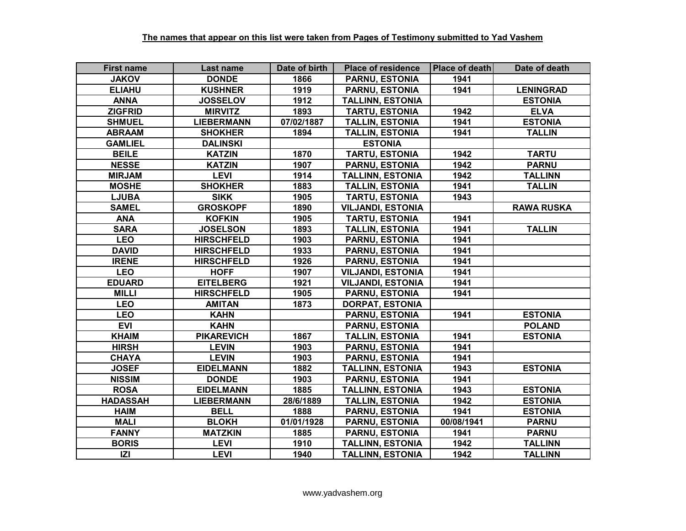| <b>First name</b> | Last name         | Date of birth | <b>Place of residence</b> | Place of death | Date of death     |
|-------------------|-------------------|---------------|---------------------------|----------------|-------------------|
| <b>JAKOV</b>      | <b>DONDE</b>      | 1866          | <b>PARNU, ESTONIA</b>     | 1941           |                   |
| <b>ELIAHU</b>     | <b>KUSHNER</b>    | 1919          | <b>PARNU, ESTONIA</b>     | 1941           | <b>LENINGRAD</b>  |
| <b>ANNA</b>       | <b>JOSSELOV</b>   | 1912          | <b>TALLINN, ESTONIA</b>   |                | <b>ESTONIA</b>    |
| <b>ZIGFRID</b>    | <b>MIRVITZ</b>    | 1893          | <b>TARTU, ESTONIA</b>     | 1942           | <b>ELVA</b>       |
| <b>SHMUEL</b>     | <b>LIEBERMANN</b> | 07/02/1887    | <b>TALLIN, ESTONIA</b>    | 1941           | <b>ESTONIA</b>    |
| <b>ABRAAM</b>     | <b>SHOKHER</b>    | 1894          | <b>TALLIN, ESTONIA</b>    | 1941           | <b>TALLIN</b>     |
| <b>GAMLIEL</b>    | <b>DALINSKI</b>   |               | <b>ESTONIA</b>            |                |                   |
| <b>BEILE</b>      | <b>KATZIN</b>     | 1870          | <b>TARTU, ESTONIA</b>     | 1942           | <b>TARTU</b>      |
| <b>NESSE</b>      | <b>KATZIN</b>     | 1907          | <b>PARNU, ESTONIA</b>     | 1942           | <b>PARNU</b>      |
| <b>MIRJAM</b>     | <b>LEVI</b>       | 1914          | <b>TALLINN, ESTONIA</b>   | 1942           | <b>TALLINN</b>    |
| <b>MOSHE</b>      | <b>SHOKHER</b>    | 1883          | <b>TALLIN, ESTONIA</b>    | 1941           | <b>TALLIN</b>     |
| <b>LJUBA</b>      | <b>SIKK</b>       | 1905          | <b>TARTU, ESTONIA</b>     | 1943           |                   |
| <b>SAMEL</b>      | <b>GROSKOPF</b>   | 1890          | <b>VILJANDI, ESTONIA</b>  |                | <b>RAWA RUSKA</b> |
| <b>ANA</b>        | <b>KOFKIN</b>     | 1905          | <b>TARTU, ESTONIA</b>     | 1941           |                   |
| <b>SARA</b>       | <b>JOSELSON</b>   | 1893          | <b>TALLIN, ESTONIA</b>    | 1941           | <b>TALLIN</b>     |
| <b>LEO</b>        | <b>HIRSCHFELD</b> | 1903          | <b>PARNU, ESTONIA</b>     | 1941           |                   |
| <b>DAVID</b>      | <b>HIRSCHFELD</b> | 1933          | <b>PARNU, ESTONIA</b>     | 1941           |                   |
| <b>IRENE</b>      | <b>HIRSCHFELD</b> | 1926          | PARNU, ESTONIA            | 1941           |                   |
| <b>LEO</b>        | <b>HOFF</b>       | 1907          | <b>VILJANDI, ESTONIA</b>  | 1941           |                   |
| <b>EDUARD</b>     | <b>EITELBERG</b>  | 1921          | <b>VILJANDI, ESTONIA</b>  | 1941           |                   |
| <b>MILLI</b>      | <b>HIRSCHFELD</b> | 1905          | <b>PARNU, ESTONIA</b>     | 1941           |                   |
| <b>LEO</b>        | <b>AMITAN</b>     | 1873          | <b>DORPAT, ESTONIA</b>    |                |                   |
| <b>LEO</b>        | <b>KAHN</b>       |               | <b>PARNU, ESTONIA</b>     | 1941           | <b>ESTONIA</b>    |
| <b>EVI</b>        | <b>KAHN</b>       |               | <b>PARNU, ESTONIA</b>     |                | <b>POLAND</b>     |
| <b>KHAIM</b>      | <b>PIKAREVICH</b> | 1867          | <b>TALLIN, ESTONIA</b>    | 1941           | <b>ESTONIA</b>    |
| <b>HIRSH</b>      | <b>LEVIN</b>      | 1903          | PARNU, ESTONIA            | 1941           |                   |
| <b>CHAYA</b>      | <b>LEVIN</b>      | 1903          | <b>PARNU, ESTONIA</b>     | 1941           |                   |
| <b>JOSEF</b>      | <b>EIDELMANN</b>  | 1882          | <b>TALLINN, ESTONIA</b>   | 1943           | <b>ESTONIA</b>    |
| <b>NISSIM</b>     | <b>DONDE</b>      | 1903          | <b>PARNU, ESTONIA</b>     | 1941           |                   |
| <b>ROSA</b>       | <b>EIDELMANN</b>  | 1885          | <b>TALLINN, ESTONIA</b>   | 1943           | <b>ESTONIA</b>    |
| <b>HADASSAH</b>   | <b>LIEBERMANN</b> | 28/6/1889     | <b>TALLIN, ESTONIA</b>    | 1942           | <b>ESTONIA</b>    |
| <b>HAIM</b>       | <b>BELL</b>       | 1888          | <b>PARNU, ESTONIA</b>     | 1941           | <b>ESTONIA</b>    |
| <b>MALI</b>       | <b>BLOKH</b>      | 01/01/1928    | <b>PARNU, ESTONIA</b>     | 00/08/1941     | <b>PARNU</b>      |
| <b>FANNY</b>      | <b>MATZKIN</b>    | 1885          | <b>PARNU, ESTONIA</b>     | 1941           | <b>PARNU</b>      |
| <b>BORIS</b>      | <b>LEVI</b>       | 1910          | <b>TALLINN, ESTONIA</b>   | 1942           | <b>TALLINN</b>    |
| Z                 | <b>LEVI</b>       | 1940          | <b>TALLINN, ESTONIA</b>   | 1942           | <b>TALLINN</b>    |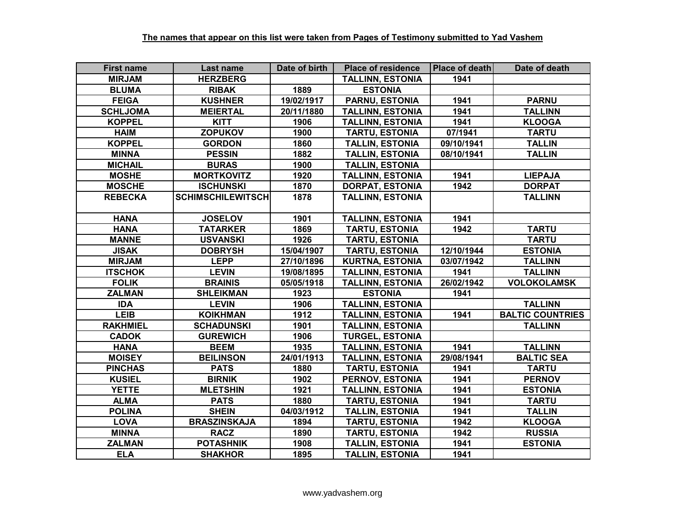| <b>First name</b> | Last name                | Date of birth | <b>Place of residence</b> | <b>Place of death</b> | Date of death           |
|-------------------|--------------------------|---------------|---------------------------|-----------------------|-------------------------|
| <b>MIRJAM</b>     | <b>HERZBERG</b>          |               | <b>TALLINN, ESTONIA</b>   | 1941                  |                         |
| <b>BLUMA</b>      | <b>RIBAK</b>             | 1889          | <b>ESTONIA</b>            |                       |                         |
| <b>FEIGA</b>      | <b>KUSHNER</b>           | 19/02/1917    | <b>PARNU, ESTONIA</b>     | 1941                  | <b>PARNU</b>            |
| <b>SCHLJOMA</b>   | <b>MEIERTAL</b>          | 20/11/1880    | <b>TALLINN, ESTONIA</b>   | 1941                  | <b>TALLINN</b>          |
| <b>KOPPEL</b>     | <b>KITT</b>              | 1906          | <b>TALLINN, ESTONIA</b>   | 1941                  | <b>KLOOGA</b>           |
| <b>HAIM</b>       | <b>ZOPUKOV</b>           | 1900          | <b>TARTU, ESTONIA</b>     | 07/1941               | <b>TARTU</b>            |
| <b>KOPPEL</b>     | <b>GORDON</b>            | 1860          | <b>TALLIN, ESTONIA</b>    | 09/10/1941            | <b>TALLIN</b>           |
| <b>MINNA</b>      | <b>PESSIN</b>            | 1882          | <b>TALLIN, ESTONIA</b>    | 08/10/1941            | <b>TALLIN</b>           |
| <b>MICHAIL</b>    | <b>BURAS</b>             | 1900          | <b>TALLIN, ESTONIA</b>    |                       |                         |
| <b>MOSHE</b>      | <b>MORTKOVITZ</b>        | 1920          | <b>TALLINN, ESTONIA</b>   | 1941                  | <b>LIEPAJA</b>          |
| <b>MOSCHE</b>     | <b>ISCHUNSKI</b>         | 1870          | <b>DORPAT, ESTONIA</b>    | 1942                  | <b>DORPAT</b>           |
| <b>REBECKA</b>    | <b>SCHIMSCHILEWITSCH</b> | 1878          | <b>TALLINN, ESTONIA</b>   |                       | <b>TALLINN</b>          |
|                   |                          |               |                           |                       |                         |
| <b>HANA</b>       | <b>JOSELOV</b>           | 1901          | <b>TALLINN, ESTONIA</b>   | 1941                  |                         |
| <b>HANA</b>       | <b>TATARKER</b>          | 1869          | <b>TARTU, ESTONIA</b>     | 1942                  | <b>TARTU</b>            |
| <b>MANNE</b>      | <b>USVANSKI</b>          | 1926          | <b>TARTU, ESTONIA</b>     |                       | <b>TARTU</b>            |
| <b>JISAK</b>      | <b>DOBRYSH</b>           | 15/04/1907    | <b>TARTU, ESTONIA</b>     | 12/10/1944            | <b>ESTONIA</b>          |
| <b>MIRJAM</b>     | <b>LEPP</b>              | 27/10/1896    | <b>KURTNA, ESTONIA</b>    | 03/07/1942            | <b>TALLINN</b>          |
| <b>ITSCHOK</b>    | <b>LEVIN</b>             | 19/08/1895    | <b>TALLINN, ESTONIA</b>   | 1941                  | <b>TALLINN</b>          |
| <b>FOLIK</b>      | <b>BRAINIS</b>           | 05/05/1918    | <b>TALLINN, ESTONIA</b>   | 26/02/1942            | <b>VOLOKOLAMSK</b>      |
| <b>ZALMAN</b>     | <b>SHLEIKMAN</b>         | 1923          | <b>ESTONIA</b>            | 1941                  |                         |
| <b>IDA</b>        | <b>LEVIN</b>             | 1906          | <b>TALLINN, ESTONIA</b>   |                       | <b>TALLINN</b>          |
| <b>LEIB</b>       | <b>KOIKHMAN</b>          | 1912          | <b>TALLINN, ESTONIA</b>   | 1941                  | <b>BALTIC COUNTRIES</b> |
| <b>RAKHMIEL</b>   | <b>SCHADUNSKI</b>        | 1901          | <b>TALLINN, ESTONIA</b>   |                       | <b>TALLINN</b>          |
| <b>CADOK</b>      | <b>GUREWICH</b>          | 1906          | <b>TURGEL, ESTONIA</b>    |                       |                         |
| <b>HANA</b>       | <b>BEEM</b>              | 1935          | <b>TALLINN, ESTONIA</b>   | 1941                  | <b>TALLINN</b>          |
| <b>MOISEY</b>     | <b>BEILINSON</b>         | 24/01/1913    | <b>TALLINN, ESTONIA</b>   | 29/08/1941            | <b>BALTIC SEA</b>       |
| <b>PINCHAS</b>    | <b>PATS</b>              | 1880          | <b>TARTU, ESTONIA</b>     | 1941                  | <b>TARTU</b>            |
| <b>KUSIEL</b>     | <b>BIRNIK</b>            | 1902          | PERNOV, ESTONIA           | 1941                  | <b>PERNOV</b>           |
| <b>YETTE</b>      | <b>MLETSHIN</b>          | 1921          | <b>TALLINN, ESTONIA</b>   | 1941                  | <b>ESTONIA</b>          |
| <b>ALMA</b>       | <b>PATS</b>              | 1880          | <b>TARTU, ESTONIA</b>     | 1941                  | <b>TARTU</b>            |
| <b>POLINA</b>     | <b>SHEIN</b>             | 04/03/1912    | <b>TALLIN, ESTONIA</b>    | 1941                  | <b>TALLIN</b>           |
| <b>LOVA</b>       | <b>BRASZINSKAJA</b>      | 1894          | <b>TARTU, ESTONIA</b>     | 1942                  | <b>KLOOGA</b>           |
| <b>MINNA</b>      | <b>RACZ</b>              | 1890          | <b>TARTU, ESTONIA</b>     | 1942                  | <b>RUSSIA</b>           |
| <b>ZALMAN</b>     | <b>POTASHNIK</b>         | 1908          | <b>TALLIN, ESTONIA</b>    | 1941                  | <b>ESTONIA</b>          |
| <b>ELA</b>        | <b>SHAKHOR</b>           | 1895          | <b>TALLIN. ESTONIA</b>    | 1941                  |                         |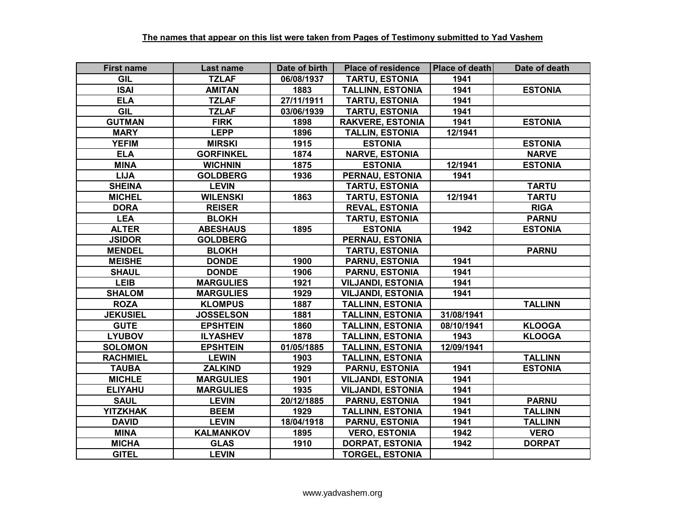| <b>First name</b> | Last name        | Date of birth | <b>Place of residence</b> | Place of death | Date of death  |
|-------------------|------------------|---------------|---------------------------|----------------|----------------|
| <b>GIL</b>        | <b>TZLAF</b>     | 06/08/1937    | <b>TARTU, ESTONIA</b>     | 1941           |                |
| <b>ISAI</b>       | <b>AMITAN</b>    | 1883          | <b>TALLINN, ESTONIA</b>   | 1941           | <b>ESTONIA</b> |
| <b>ELA</b>        | <b>TZLAF</b>     | 27/11/1911    | <b>TARTU, ESTONIA</b>     | 1941           |                |
| <b>GIL</b>        | <b>TZLAF</b>     | 03/06/1939    | <b>TARTU, ESTONIA</b>     | 1941           |                |
| <b>GUTMAN</b>     | <b>FIRK</b>      | 1898          | <b>RAKVERE, ESTONIA</b>   | 1941           | <b>ESTONIA</b> |
| <b>MARY</b>       | <b>LEPP</b>      | 1896          | <b>TALLIN, ESTONIA</b>    | 12/1941        |                |
| <b>YEFIM</b>      | <b>MIRSKI</b>    | 1915          | <b>ESTONIA</b>            |                | <b>ESTONIA</b> |
| <b>ELA</b>        | <b>GORFINKEL</b> | 1874          | <b>NARVE, ESTONIA</b>     |                | <b>NARVE</b>   |
| <b>MINA</b>       | <b>WICHNIN</b>   | 1875          | <b>ESTONIA</b>            | 12/1941        | <b>ESTONIA</b> |
| <b>LIJA</b>       | <b>GOLDBERG</b>  | 1936          | PERNAU, ESTONIA           | 1941           |                |
| <b>SHEINA</b>     | <b>LEVIN</b>     |               | <b>TARTU, ESTONIA</b>     |                | <b>TARTU</b>   |
| <b>MICHEL</b>     | <b>WILENSKI</b>  | 1863          | <b>TARTU, ESTONIA</b>     | 12/1941        | <b>TARTU</b>   |
| <b>DORA</b>       | <b>REISER</b>    |               | <b>REVAL, ESTONIA</b>     |                | <b>RIGA</b>    |
| <b>LEA</b>        | <b>BLOKH</b>     |               | <b>TARTU, ESTONIA</b>     |                | <b>PARNU</b>   |
| <b>ALTER</b>      | <b>ABESHAUS</b>  | 1895          | <b>ESTONIA</b>            | 1942           | <b>ESTONIA</b> |
| <b>JSIDOR</b>     | <b>GOLDBERG</b>  |               | PERNAU, ESTONIA           |                |                |
| <b>MENDEL</b>     | <b>BLOKH</b>     |               | <b>TARTU, ESTONIA</b>     |                | <b>PARNU</b>   |
| <b>MEISHE</b>     | <b>DONDE</b>     | 1900          | <b>PARNU, ESTONIA</b>     | 1941           |                |
| <b>SHAUL</b>      | <b>DONDE</b>     | 1906          | <b>PARNU, ESTONIA</b>     | 1941           |                |
| <b>LEIB</b>       | <b>MARGULIES</b> | 1921          | <b>VILJANDI, ESTONIA</b>  | 1941           |                |
| <b>SHALOM</b>     | <b>MARGULIES</b> | 1929          | <b>VILJANDI, ESTONIA</b>  | 1941           |                |
| <b>ROZA</b>       | <b>KLOMPUS</b>   | 1887          | <b>TALLINN, ESTONIA</b>   |                | <b>TALLINN</b> |
| <b>JEKUSIEL</b>   | <b>JOSSELSON</b> | 1881          | <b>TALLINN, ESTONIA</b>   | 31/08/1941     |                |
| <b>GUTE</b>       | <b>EPSHTEIN</b>  | 1860          | <b>TALLINN, ESTONIA</b>   | 08/10/1941     | <b>KLOOGA</b>  |
| <b>LYUBOV</b>     | <b>ILYASHEV</b>  | 1878          | <b>TALLINN, ESTONIA</b>   | 1943           | <b>KLOOGA</b>  |
| <b>SOLOMON</b>    | <b>EPSHTEIN</b>  | 01/05/1885    | <b>TALLINN, ESTONIA</b>   | 12/09/1941     |                |
| <b>RACHMIEL</b>   | <b>LEWIN</b>     | 1903          | <b>TALLINN, ESTONIA</b>   |                | <b>TALLINN</b> |
| <b>TAUBA</b>      | <b>ZALKIND</b>   | 1929          | <b>PARNU, ESTONIA</b>     | 1941           | <b>ESTONIA</b> |
| <b>MICHLE</b>     | <b>MARGULIES</b> | 1901          | <b>VILJANDI, ESTONIA</b>  | 1941           |                |
| <b>ELIYAHU</b>    | <b>MARGULIES</b> | 1935          | <b>VILJANDI, ESTONIA</b>  | 1941           |                |
| <b>SAUL</b>       | <b>LEVIN</b>     | 20/12/1885    | <b>PARNU, ESTONIA</b>     | 1941           | <b>PARNU</b>   |
| <b>YITZKHAK</b>   | <b>BEEM</b>      | 1929          | <b>TALLINN, ESTONIA</b>   | 1941           | <b>TALLINN</b> |
| <b>DAVID</b>      | <b>LEVIN</b>     | 18/04/1918    | <b>PARNU, ESTONIA</b>     | 1941           | <b>TALLINN</b> |
| <b>MINA</b>       | <b>KALMANKOV</b> | 1895          | <b>VERO, ESTONIA</b>      | 1942           | <b>VERO</b>    |
| <b>MICHA</b>      | <b>GLAS</b>      | 1910          | <b>DORPAT, ESTONIA</b>    | 1942           | <b>DORPAT</b>  |
| <b>GITEL</b>      | <b>LEVIN</b>     |               | <b>TORGEL, ESTONIA</b>    |                |                |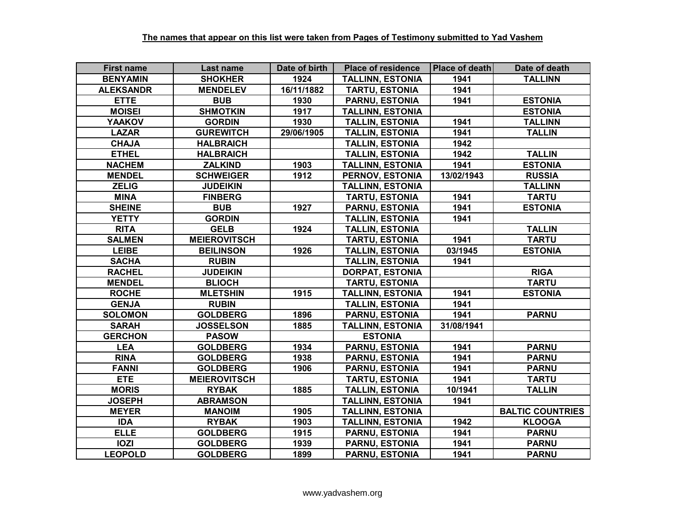| <b>First name</b> | Last name           | Date of birth | <b>Place of residence</b> | <b>Place of death</b> | Date of death           |
|-------------------|---------------------|---------------|---------------------------|-----------------------|-------------------------|
| <b>BENYAMIN</b>   | <b>SHOKHER</b>      | 1924          | <b>TALLINN, ESTONIA</b>   | 1941                  | <b>TALLINN</b>          |
| <b>ALEKSANDR</b>  | <b>MENDELEV</b>     | 16/11/1882    | <b>TARTU, ESTONIA</b>     | 1941                  |                         |
| <b>ETTE</b>       | <b>BUB</b>          | 1930          | <b>PARNU, ESTONIA</b>     | 1941                  | <b>ESTONIA</b>          |
| <b>MOISEI</b>     | <b>SHMOTKIN</b>     | 1917          | <b>TALLINN, ESTONIA</b>   |                       | <b>ESTONIA</b>          |
| <b>YAAKOV</b>     | <b>GORDIN</b>       | 1930          | <b>TALLIN, ESTONIA</b>    | 1941                  | <b>TALLINN</b>          |
| <b>LAZAR</b>      | <b>GUREWITCH</b>    | 29/06/1905    | <b>TALLIN, ESTONIA</b>    | 1941                  | <b>TALLIN</b>           |
| <b>CHAJA</b>      | <b>HALBRAICH</b>    |               | <b>TALLIN, ESTONIA</b>    | 1942                  |                         |
| <b>ETHEL</b>      | <b>HALBRAICH</b>    |               | <b>TALLIN, ESTONIA</b>    | 1942                  | <b>TALLIN</b>           |
| <b>NACHEM</b>     | <b>ZALKIND</b>      | 1903          | <b>TALLINN, ESTONIA</b>   | 1941                  | <b>ESTONIA</b>          |
| <b>MENDEL</b>     | <b>SCHWEIGER</b>    | 1912          | PERNOV, ESTONIA           | 13/02/1943            | <b>RUSSIA</b>           |
| <b>ZELIG</b>      | <b>JUDEIKIN</b>     |               | <b>TALLINN, ESTONIA</b>   |                       | <b>TALLINN</b>          |
| <b>MINA</b>       | <b>FINBERG</b>      |               | <b>TARTU, ESTONIA</b>     | 1941                  | <b>TARTU</b>            |
| <b>SHEINE</b>     | <b>BUB</b>          | 1927          | <b>PARNU, ESTONIA</b>     | 1941                  | <b>ESTONIA</b>          |
| <b>YETTY</b>      | <b>GORDIN</b>       |               | <b>TALLIN, ESTONIA</b>    | 1941                  |                         |
| <b>RITA</b>       | <b>GELB</b>         | 1924          | <b>TALLIN, ESTONIA</b>    |                       | <b>TALLIN</b>           |
| <b>SALMEN</b>     | <b>MEIEROVITSCH</b> |               | <b>TARTU, ESTONIA</b>     | 1941                  | <b>TARTU</b>            |
| <b>LEIBE</b>      | <b>BEILINSON</b>    | 1926          | <b>TALLIN, ESTONIA</b>    | 03/1945               | <b>ESTONIA</b>          |
| <b>SACHA</b>      | <b>RUBIN</b>        |               | <b>TALLIN, ESTONIA</b>    | 1941                  |                         |
| <b>RACHEL</b>     | <b>JUDEIKIN</b>     |               | <b>DORPAT, ESTONIA</b>    |                       | <b>RIGA</b>             |
| <b>MENDEL</b>     | <b>BLIOCH</b>       |               | <b>TARTU, ESTONIA</b>     |                       | <b>TARTU</b>            |
| <b>ROCHE</b>      | <b>MLETSHIN</b>     | 1915          | <b>TALLINN, ESTONIA</b>   | 1941                  | <b>ESTONIA</b>          |
| <b>GENJA</b>      | <b>RUBIN</b>        |               | <b>TALLIN, ESTONIA</b>    | 1941                  |                         |
| <b>SOLOMON</b>    | <b>GOLDBERG</b>     | 1896          | <b>PARNU, ESTONIA</b>     | 1941                  | <b>PARNU</b>            |
| <b>SARAH</b>      | <b>JOSSELSON</b>    | 1885          | <b>TALLINN, ESTONIA</b>   | 31/08/1941            |                         |
| <b>GERCHON</b>    | <b>PASOW</b>        |               | <b>ESTONIA</b>            |                       |                         |
| <b>LEA</b>        | <b>GOLDBERG</b>     | 1934          | <b>PARNU, ESTONIA</b>     | 1941                  | <b>PARNU</b>            |
| <b>RINA</b>       | <b>GOLDBERG</b>     | 1938          | <b>PARNU, ESTONIA</b>     | 1941                  | <b>PARNU</b>            |
| <b>FANNI</b>      | <b>GOLDBERG</b>     | 1906          | <b>PARNU, ESTONIA</b>     | 1941                  | <b>PARNU</b>            |
| <b>ETE</b>        | <b>MEIEROVITSCH</b> |               | <b>TARTU, ESTONIA</b>     | 1941                  | <b>TARTU</b>            |
| <b>MORIS</b>      | <b>RYBAK</b>        | 1885          | <b>TALLIN, ESTONIA</b>    | 10/1941               | <b>TALLIN</b>           |
| <b>JOSEPH</b>     | <b>ABRAMSON</b>     |               | <b>TALLINN, ESTONIA</b>   | 1941                  |                         |
| <b>MEYER</b>      | <b>MANOIM</b>       | 1905          | <b>TALLINN, ESTONIA</b>   |                       | <b>BALTIC COUNTRIES</b> |
| <b>IDA</b>        | <b>RYBAK</b>        | 1903          | <b>TALLINN, ESTONIA</b>   | 1942                  | <b>KLOOGA</b>           |
| <b>ELLE</b>       | <b>GOLDBERG</b>     | 1915          | <b>PARNU, ESTONIA</b>     | 1941                  | <b>PARNU</b>            |
| <b>IOZI</b>       | <b>GOLDBERG</b>     | 1939          | <b>PARNU, ESTONIA</b>     | 1941                  | <b>PARNU</b>            |
| <b>LEOPOLD</b>    | <b>GOLDBERG</b>     | 1899          | <b>PARNU, ESTONIA</b>     | 1941                  | <b>PARNU</b>            |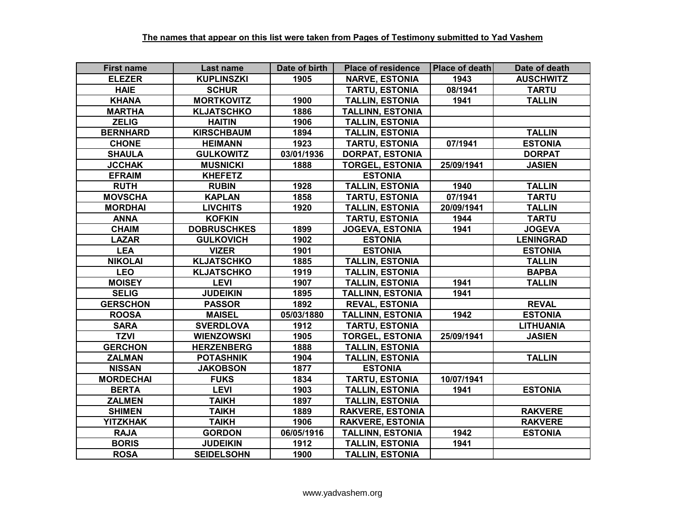| <b>First name</b> | Last name          | Date of birth | <b>Place of residence</b> | Place of death | Date of death    |
|-------------------|--------------------|---------------|---------------------------|----------------|------------------|
| <b>ELEZER</b>     | <b>KUPLINSZKI</b>  | 1905          | <b>NARVE, ESTONIA</b>     | 1943           | <b>AUSCHWITZ</b> |
| <b>HAIE</b>       | <b>SCHUR</b>       |               | <b>TARTU, ESTONIA</b>     | 08/1941        | <b>TARTU</b>     |
| <b>KHANA</b>      | <b>MORTKOVITZ</b>  | 1900          | <b>TALLIN, ESTONIA</b>    | 1941           | <b>TALLIN</b>    |
| <b>MARTHA</b>     | <b>KLJATSCHKO</b>  | 1886          | <b>TALLINN, ESTONIA</b>   |                |                  |
| <b>ZELIG</b>      | <b>HAITIN</b>      | 1906          | <b>TALLIN, ESTONIA</b>    |                |                  |
| <b>BERNHARD</b>   | <b>KIRSCHBAUM</b>  | 1894          | <b>TALLIN, ESTONIA</b>    |                | <b>TALLIN</b>    |
| <b>CHONE</b>      | <b>HEIMANN</b>     | 1923          | <b>TARTU, ESTONIA</b>     | 07/1941        | <b>ESTONIA</b>   |
| <b>SHAULA</b>     | <b>GULKOWITZ</b>   | 03/01/1936    | <b>DORPAT, ESTONIA</b>    |                | <b>DORPAT</b>    |
| <b>JCCHAK</b>     | <b>MUSNICKI</b>    | 1888          | <b>TORGEL, ESTONIA</b>    | 25/09/1941     | <b>JASIEN</b>    |
| <b>EFRAIM</b>     | <b>KHEFETZ</b>     |               | <b>ESTONIA</b>            |                |                  |
| <b>RUTH</b>       | <b>RUBIN</b>       | 1928          | <b>TALLIN, ESTONIA</b>    | 1940           | <b>TALLIN</b>    |
| <b>MOVSCHA</b>    | <b>KAPLAN</b>      | 1858          | <b>TARTU, ESTONIA</b>     | 07/1941        | <b>TARTU</b>     |
| <b>MORDHAI</b>    | <b>LIVCHITS</b>    | 1920          | <b>TALLIN, ESTONIA</b>    | 20/09/1941     | <b>TALLIN</b>    |
| <b>ANNA</b>       | <b>KOFKIN</b>      |               | TARTU, ESTONIA            | 1944           | <b>TARTU</b>     |
| <b>CHAIM</b>      | <b>DOBRUSCHKES</b> | 1899          | <b>JOGEVA, ESTONIA</b>    | 1941           | <b>JOGEVA</b>    |
| <b>LAZAR</b>      | <b>GULKOVICH</b>   | 1902          | <b>ESTONIA</b>            |                | <b>LENINGRAD</b> |
| <b>LEA</b>        | <b>VIZER</b>       | 1901          | <b>ESTONIA</b>            |                | <b>ESTONIA</b>   |
| <b>NIKOLAI</b>    | <b>KLJATSCHKO</b>  | 1885          | <b>TALLIN, ESTONIA</b>    |                | <b>TALLIN</b>    |
| <b>LEO</b>        | <b>KLJATSCHKO</b>  | 1919          | <b>TALLIN, ESTONIA</b>    |                | <b>BAPBA</b>     |
| <b>MOISEY</b>     | <b>LEVI</b>        | 1907          | <b>TALLIN, ESTONIA</b>    | 1941           | <b>TALLIN</b>    |
| <b>SELIG</b>      | <b>JUDEIKIN</b>    | 1895          | <b>TALLINN, ESTONIA</b>   | 1941           |                  |
| <b>GERSCHON</b>   | <b>PASSOR</b>      | 1892          | <b>REVAL, ESTONIA</b>     |                | <b>REVAL</b>     |
| <b>ROOSA</b>      | <b>MAISEL</b>      | 05/03/1880    | <b>TALLINN, ESTONIA</b>   | 1942           | <b>ESTONIA</b>   |
| <b>SARA</b>       | <b>SVERDLOVA</b>   | 1912          | <b>TARTU, ESTONIA</b>     |                | <b>LITHUANIA</b> |
| <b>TZVI</b>       | <b>WIENZOWSKI</b>  | 1905          | <b>TORGEL, ESTONIA</b>    | 25/09/1941     | <b>JASIEN</b>    |
| <b>GERCHON</b>    | <b>HERZENBERG</b>  | 1888          | <b>TALLIN, ESTONIA</b>    |                |                  |
| <b>ZALMAN</b>     | <b>POTASHNIK</b>   | 1904          | <b>TALLIN, ESTONIA</b>    |                | <b>TALLIN</b>    |
| <b>NISSAN</b>     | <b>JAKOBSON</b>    | 1877          | <b>ESTONIA</b>            |                |                  |
| <b>MORDECHAI</b>  | <b>FUKS</b>        | 1834          | <b>TARTU, ESTONIA</b>     | 10/07/1941     |                  |
| <b>BERTA</b>      | <b>LEVI</b>        | 1903          | <b>TALLIN, ESTONIA</b>    | 1941           | <b>ESTONIA</b>   |
| <b>ZALMEN</b>     | <b>TAIKH</b>       | 1897          | <b>TALLIN, ESTONIA</b>    |                |                  |
| <b>SHIMEN</b>     | <b>TAIKH</b>       | 1889          | <b>RAKVERE, ESTONIA</b>   |                | <b>RAKVERE</b>   |
| <b>YITZKHAK</b>   | <b>TAIKH</b>       | 1906          | <b>RAKVERE, ESTONIA</b>   |                | <b>RAKVERE</b>   |
| <b>RAJA</b>       | <b>GORDON</b>      | 06/05/1916    | <b>TALLINN, ESTONIA</b>   | 1942           | <b>ESTONIA</b>   |
| <b>BORIS</b>      | <b>JUDEIKIN</b>    | 1912          | <b>TALLIN, ESTONIA</b>    | 1941           |                  |
| <b>ROSA</b>       | <b>SEIDELSOHN</b>  | 1900          | <b>TALLIN, ESTONIA</b>    |                |                  |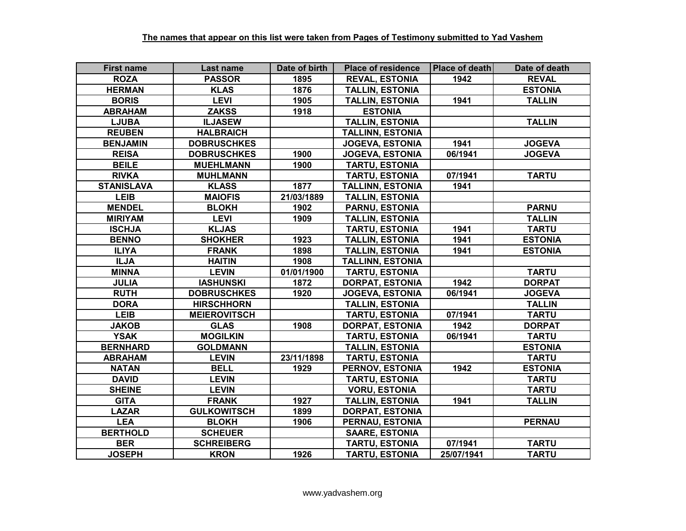| <b>First name</b> | Last name           | Date of birth | <b>Place of residence</b> | <b>Place of death</b> | Date of death  |
|-------------------|---------------------|---------------|---------------------------|-----------------------|----------------|
| <b>ROZA</b>       | <b>PASSOR</b>       | 1895          | <b>REVAL, ESTONIA</b>     | 1942                  | <b>REVAL</b>   |
| <b>HERMAN</b>     | <b>KLAS</b>         | 1876          | <b>TALLIN, ESTONIA</b>    |                       | <b>ESTONIA</b> |
| <b>BORIS</b>      | <b>LEVI</b>         | 1905          | <b>TALLIN, ESTONIA</b>    | 1941                  | <b>TALLIN</b>  |
| <b>ABRAHAM</b>    | <b>ZAKSS</b>        | 1918          | <b>ESTONIA</b>            |                       |                |
| <b>LJUBA</b>      | <b>ILJASEW</b>      |               | <b>TALLIN, ESTONIA</b>    |                       | <b>TALLIN</b>  |
| <b>REUBEN</b>     | <b>HALBRAICH</b>    |               | <b>TALLINN, ESTONIA</b>   |                       |                |
| <b>BENJAMIN</b>   | <b>DOBRUSCHKES</b>  |               | <b>JOGEVA, ESTONIA</b>    | 1941                  | <b>JOGEVA</b>  |
| <b>REISA</b>      | <b>DOBRUSCHKES</b>  | 1900          | <b>JOGEVA, ESTONIA</b>    | 06/1941               | <b>JOGEVA</b>  |
| <b>BEILE</b>      | <b>MUEHLMANN</b>    | 1900          | <b>TARTU, ESTONIA</b>     |                       |                |
| <b>RIVKA</b>      | <b>MUHLMANN</b>     |               | <b>TARTU, ESTONIA</b>     | 07/1941               | <b>TARTU</b>   |
| <b>STANISLAVA</b> | <b>KLASS</b>        | 1877          | <b>TALLINN, ESTONIA</b>   | 1941                  |                |
| <b>LEIB</b>       | <b>MAIOFIS</b>      | 21/03/1889    | <b>TALLIN, ESTONIA</b>    |                       |                |
| <b>MENDEL</b>     | <b>BLOKH</b>        | 1902          | <b>PARNU, ESTONIA</b>     |                       | <b>PARNU</b>   |
| <b>MIRIYAM</b>    | <b>LEVI</b>         | 1909          | <b>TALLIN, ESTONIA</b>    |                       | <b>TALLIN</b>  |
| <b>ISCHJA</b>     | <b>KLJAS</b>        |               | <b>TARTU, ESTONIA</b>     | 1941                  | <b>TARTU</b>   |
| <b>BENNO</b>      | <b>SHOKHER</b>      | 1923          | <b>TALLIN, ESTONIA</b>    | 1941                  | <b>ESTONIA</b> |
| <b>ILIYA</b>      | <b>FRANK</b>        | 1898          | <b>TALLIN, ESTONIA</b>    | 1941                  | <b>ESTONIA</b> |
| <b>ILJA</b>       | <b>HAITIN</b>       | 1908          | <b>TALLINN, ESTONIA</b>   |                       |                |
| <b>MINNA</b>      | <b>LEVIN</b>        | 01/01/1900    | <b>TARTU, ESTONIA</b>     |                       | <b>TARTU</b>   |
| <b>JULIA</b>      | <b>IASHUNSKI</b>    | 1872          | <b>DORPAT, ESTONIA</b>    | 1942                  | <b>DORPAT</b>  |
| <b>RUTH</b>       | <b>DOBRUSCHKES</b>  | 1920          | <b>JOGEVA, ESTONIA</b>    | 06/1941               | <b>JOGEVA</b>  |
| <b>DORA</b>       | <b>HIRSCHHORN</b>   |               | <b>TALLIN, ESTONIA</b>    |                       | <b>TALLIN</b>  |
| <b>LEIB</b>       | <b>MEIEROVITSCH</b> |               | <b>TARTU, ESTONIA</b>     | 07/1941               | <b>TARTU</b>   |
| <b>JAKOB</b>      | <b>GLAS</b>         | 1908          | <b>DORPAT, ESTONIA</b>    | 1942                  | <b>DORPAT</b>  |
| <b>YSAK</b>       | <b>MOGILKIN</b>     |               | <b>TARTU, ESTONIA</b>     | 06/1941               | <b>TARTU</b>   |
| <b>BERNHARD</b>   | <b>GOLDMANN</b>     |               | <b>TALLIN, ESTONIA</b>    |                       | <b>ESTONIA</b> |
| <b>ABRAHAM</b>    | <b>LEVIN</b>        | 23/11/1898    | <b>TARTU, ESTONIA</b>     |                       | <b>TARTU</b>   |
| <b>NATAN</b>      | <b>BELL</b>         | 1929          | <b>PERNOV, ESTONIA</b>    | 1942                  | <b>ESTONIA</b> |
| <b>DAVID</b>      | <b>LEVIN</b>        |               | <b>TARTU, ESTONIA</b>     |                       | <b>TARTU</b>   |
| <b>SHEINE</b>     | <b>LEVIN</b>        |               | <b>VORU, ESTONIA</b>      |                       | <b>TARTU</b>   |
| <b>GITA</b>       | <b>FRANK</b>        | 1927          | <b>TALLIN, ESTONIA</b>    | 1941                  | <b>TALLIN</b>  |
| <b>LAZAR</b>      | <b>GULKOWITSCH</b>  | 1899          | <b>DORPAT, ESTONIA</b>    |                       |                |
| <b>LEA</b>        | <b>BLOKH</b>        | 1906          | PERNAU, ESTONIA           |                       | <b>PERNAU</b>  |
| <b>BERTHOLD</b>   | <b>SCHEUER</b>      |               | <b>SAARE, ESTONIA</b>     |                       |                |
| <b>BER</b>        | <b>SCHREIBERG</b>   |               | <b>TARTU, ESTONIA</b>     | 07/1941               | <b>TARTU</b>   |
| <b>JOSEPH</b>     | <b>KRON</b>         | 1926          | <b>TARTU, ESTONIA</b>     | 25/07/1941            | <b>TARTU</b>   |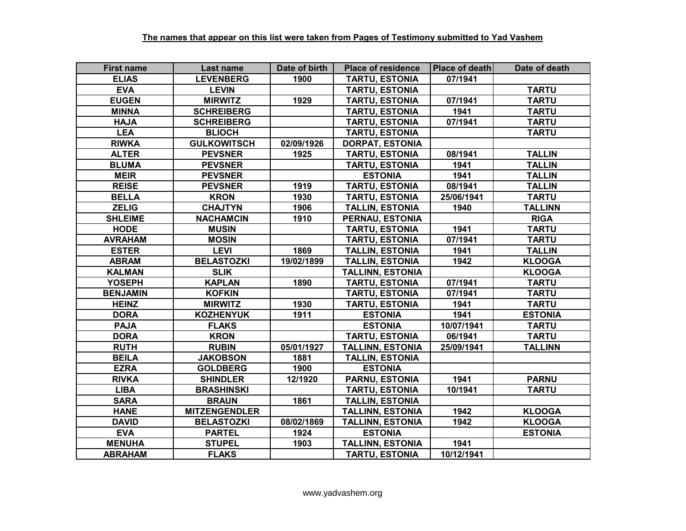| <b>First name</b> | Last name            | Date of birth | <b>Place of residence</b> | Place of death | Date of death  |
|-------------------|----------------------|---------------|---------------------------|----------------|----------------|
| <b>ELIAS</b>      | <b>LEVENBERG</b>     | 1900          | <b>TARTU, ESTONIA</b>     | 07/1941        |                |
| <b>EVA</b>        | <b>LEVIN</b>         |               | <b>TARTU, ESTONIA</b>     |                | <b>TARTU</b>   |
| <b>EUGEN</b>      | <b>MIRWITZ</b>       | 1929          | <b>TARTU, ESTONIA</b>     | 07/1941        | <b>TARTU</b>   |
| <b>MINNA</b>      | <b>SCHREIBERG</b>    |               | <b>TARTU, ESTONIA</b>     | 1941           | <b>TARTU</b>   |
| <b>HAJA</b>       | <b>SCHREIBERG</b>    |               | <b>TARTU, ESTONIA</b>     | 07/1941        | <b>TARTU</b>   |
| <b>LEA</b>        | <b>BLIOCH</b>        |               | <b>TARTU, ESTONIA</b>     |                | <b>TARTU</b>   |
| <b>RIWKA</b>      | <b>GULKOWITSCH</b>   | 02/09/1926    | <b>DORPAT, ESTONIA</b>    |                |                |
| <b>ALTER</b>      | <b>PEVSNER</b>       | 1925          | <b>TARTU, ESTONIA</b>     | 08/1941        | <b>TALLIN</b>  |
| <b>BLUMA</b>      | <b>PEVSNER</b>       |               | <b>TARTU, ESTONIA</b>     | 1941           | <b>TALLIN</b>  |
| <b>MEIR</b>       | <b>PEVSNER</b>       |               | <b>ESTONIA</b>            | 1941           | <b>TALLIN</b>  |
| <b>REISE</b>      | <b>PEVSNER</b>       | 1919          | <b>TARTU, ESTONIA</b>     | 08/1941        | <b>TALLIN</b>  |
| <b>BELLA</b>      | <b>KRON</b>          | 1930          | <b>TARTU, ESTONIA</b>     | 25/06/1941     | <b>TARTU</b>   |
| <b>ZELIG</b>      | <b>CHAJTYN</b>       | 1906          | <b>TALLIN, ESTONIA</b>    | 1940           | <b>TALLINN</b> |
| <b>SHLEIME</b>    | <b>NACHAMCIN</b>     | 1910          | PERNAU, ESTONIA           |                | <b>RIGA</b>    |
| <b>HODE</b>       | <b>MUSIN</b>         |               | <b>TARTU, ESTONIA</b>     | 1941           | <b>TARTU</b>   |
| <b>AVRAHAM</b>    | <b>MOSIN</b>         |               | <b>TARTU, ESTONIA</b>     | 07/1941        | <b>TARTU</b>   |
| <b>ESTER</b>      | <b>LEVI</b>          | 1869          | <b>TALLIN, ESTONIA</b>    | 1941           | <b>TALLIN</b>  |
| <b>ABRAM</b>      | <b>BELASTOZKI</b>    | 19/02/1899    | <b>TALLIN, ESTONIA</b>    | 1942           | <b>KLOOGA</b>  |
| <b>KALMAN</b>     | <b>SLIK</b>          |               | <b>TALLINN, ESTONIA</b>   |                | <b>KLOOGA</b>  |
| <b>YOSEPH</b>     | <b>KAPLAN</b>        | 1890          | <b>TARTU, ESTONIA</b>     | 07/1941        | <b>TARTU</b>   |
| <b>BENJAMIN</b>   | <b>KOFKIN</b>        |               | <b>TARTU, ESTONIA</b>     | 07/1941        | <b>TARTU</b>   |
| <b>HEINZ</b>      | <b>MIRWITZ</b>       | 1930          | <b>TARTU, ESTONIA</b>     | 1941           | <b>TARTU</b>   |
| <b>DORA</b>       | <b>KOZHENYUK</b>     | 1911          | <b>ESTONIA</b>            | 1941           | <b>ESTONIA</b> |
| <b>PAJA</b>       | <b>FLAKS</b>         |               | <b>ESTONIA</b>            | 10/07/1941     | <b>TARTU</b>   |
| <b>DORA</b>       | <b>KRON</b>          |               | <b>TARTU, ESTONIA</b>     | 06/1941        | <b>TARTU</b>   |
| <b>RUTH</b>       | <b>RUBIN</b>         | 05/01/1927    | <b>TALLINN, ESTONIA</b>   | 25/09/1941     | <b>TALLINN</b> |
| <b>BEILA</b>      | <b>JAKOBSON</b>      | 1881          | <b>TALLIN, ESTONIA</b>    |                |                |
| <b>EZRA</b>       | <b>GOLDBERG</b>      | 1900          | <b>ESTONIA</b>            |                |                |
| <b>RIVKA</b>      | <b>SHINDLER</b>      | 12/1920       | PARNU, ESTONIA            | 1941           | <b>PARNU</b>   |
| <b>LIBA</b>       | <b>BRASHINSKI</b>    |               | <b>TARTU, ESTONIA</b>     | 10/1941        | <b>TARTU</b>   |
| <b>SARA</b>       | <b>BRAUN</b>         | 1861          | <b>TALLIN, ESTONIA</b>    |                |                |
| <b>HANE</b>       | <b>MITZENGENDLER</b> |               | <b>TALLINN, ESTONIA</b>   | 1942           | <b>KLOOGA</b>  |
| <b>DAVID</b>      | <b>BELASTOZKI</b>    | 08/02/1869    | <b>TALLINN, ESTONIA</b>   | 1942           | <b>KLOOGA</b>  |
| <b>EVA</b>        | <b>PARTEL</b>        | 1924          | <b>ESTONIA</b>            |                | <b>ESTONIA</b> |
| <b>MENUHA</b>     | <b>STUPEL</b>        | 1903          | <b>TALLINN, ESTONIA</b>   | 1941           |                |
| <b>ABRAHAM</b>    | <b>FLAKS</b>         |               | <b>TARTU, ESTONIA</b>     | 10/12/1941     |                |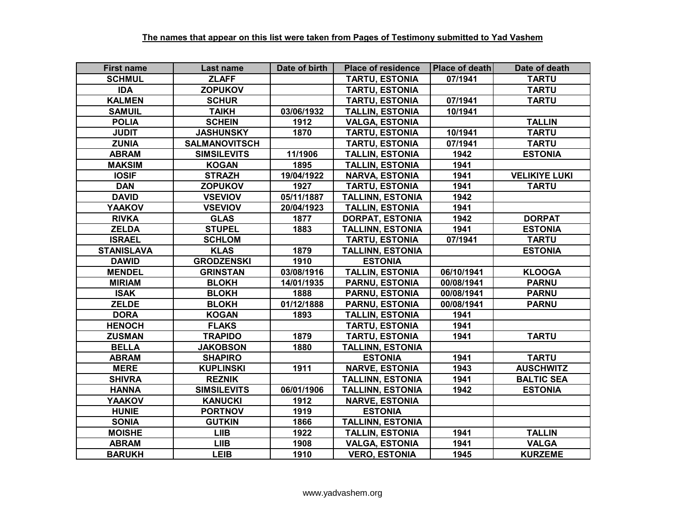| <b>First name</b> | Last name            | Date of birth | <b>Place of residence</b> | Place of death | Date of death        |
|-------------------|----------------------|---------------|---------------------------|----------------|----------------------|
| <b>SCHMUL</b>     | <b>ZLAFF</b>         |               | <b>TARTU, ESTONIA</b>     | 07/1941        | <b>TARTU</b>         |
| <b>IDA</b>        | <b>ZOPUKOV</b>       |               | <b>TARTU, ESTONIA</b>     |                | <b>TARTU</b>         |
| <b>KALMEN</b>     | <b>SCHUR</b>         |               | <b>TARTU, ESTONIA</b>     | 07/1941        | <b>TARTU</b>         |
| <b>SAMUIL</b>     | <b>TAIKH</b>         | 03/06/1932    | <b>TALLIN, ESTONIA</b>    | 10/1941        |                      |
| <b>POLIA</b>      | <b>SCHEIN</b>        | 1912          | <b>VALGA, ESTONIA</b>     |                | <b>TALLIN</b>        |
| <b>JUDIT</b>      | <b>JASHUNSKY</b>     | 1870          | <b>TARTU, ESTONIA</b>     | 10/1941        | <b>TARTU</b>         |
| <b>ZUNIA</b>      | <b>SALMANOVITSCH</b> |               | <b>TARTU, ESTONIA</b>     | 07/1941        | <b>TARTU</b>         |
| <b>ABRAM</b>      | <b>SIMSILEVITS</b>   | 11/1906       | <b>TALLIN, ESTONIA</b>    | 1942           | <b>ESTONIA</b>       |
| <b>MAKSIM</b>     | <b>KOGAN</b>         | 1895          | <b>TALLIN, ESTONIA</b>    | 1941           |                      |
| <b>IOSIF</b>      | <b>STRAZH</b>        | 19/04/1922    | <b>NARVA, ESTONIA</b>     | 1941           | <b>VELIKIYE LUKI</b> |
| <b>DAN</b>        | <b>ZOPUKOV</b>       | 1927          | <b>TARTU, ESTONIA</b>     | 1941           | <b>TARTU</b>         |
| <b>DAVID</b>      | <b>VSEVIOV</b>       | 05/11/1887    | <b>TALLINN, ESTONIA</b>   | 1942           |                      |
| <b>YAAKOV</b>     | <b>VSEVIOV</b>       | 20/04/1923    | <b>TALLIN, ESTONIA</b>    | 1941           |                      |
| <b>RIVKA</b>      | <b>GLAS</b>          | 1877          | <b>DORPAT, ESTONIA</b>    | 1942           | <b>DORPAT</b>        |
| <b>ZELDA</b>      | <b>STUPEL</b>        | 1883          | <b>TALLINN, ESTONIA</b>   | 1941           | <b>ESTONIA</b>       |
| <b>ISRAEL</b>     | <b>SCHLOM</b>        |               | <b>TARTU, ESTONIA</b>     | 07/1941        | <b>TARTU</b>         |
| <b>STANISLAVA</b> | <b>KLAS</b>          | 1879          | <b>TALLINN, ESTONIA</b>   |                | <b>ESTONIA</b>       |
| <b>DAWID</b>      | <b>GRODZENSKI</b>    | 1910          | <b>ESTONIA</b>            |                |                      |
| <b>MENDEL</b>     | <b>GRINSTAN</b>      | 03/08/1916    | <b>TALLIN, ESTONIA</b>    | 06/10/1941     | <b>KLOOGA</b>        |
| <b>MIRIAM</b>     | <b>BLOKH</b>         | 14/01/1935    | <b>PARNU, ESTONIA</b>     | 00/08/1941     | <b>PARNU</b>         |
| <b>ISAK</b>       | <b>BLOKH</b>         | 1888          | <b>PARNU, ESTONIA</b>     | 00/08/1941     | <b>PARNU</b>         |
| <b>ZELDE</b>      | <b>BLOKH</b>         | 01/12/1888    | <b>PARNU, ESTONIA</b>     | 00/08/1941     | <b>PARNU</b>         |
| <b>DORA</b>       | <b>KOGAN</b>         | 1893          | <b>TALLIN, ESTONIA</b>    | 1941           |                      |
| <b>HENOCH</b>     | <b>FLAKS</b>         |               | <b>TARTU, ESTONIA</b>     | 1941           |                      |
| <b>ZUSMAN</b>     | <b>TRAPIDO</b>       | 1879          | <b>TARTU, ESTONIA</b>     | 1941           | <b>TARTU</b>         |
| <b>BELLA</b>      | <b>JAKOBSON</b>      | 1880          | <b>TALLINN, ESTONIA</b>   |                |                      |
| <b>ABRAM</b>      | <b>SHAPIRO</b>       |               | <b>ESTONIA</b>            | 1941           | <b>TARTU</b>         |
| <b>MERE</b>       | <b>KUPLINSKI</b>     | 1911          | <b>NARVE, ESTONIA</b>     | 1943           | <b>AUSCHWITZ</b>     |
| <b>SHIVRA</b>     | <b>REZNIK</b>        |               | <b>TALLINN, ESTONIA</b>   | 1941           | <b>BALTIC SEA</b>    |
| <b>HANNA</b>      | <b>SIMSILEVITS</b>   | 06/01/1906    | <b>TALLINN, ESTONIA</b>   | 1942           | <b>ESTONIA</b>       |
| <b>YAAKOV</b>     | <b>KANUCKI</b>       | 1912          | <b>NARVE, ESTONIA</b>     |                |                      |
| <b>HUNIE</b>      | <b>PORTNOV</b>       | 1919          | <b>ESTONIA</b>            |                |                      |
| <b>SONIA</b>      | <b>GUTKIN</b>        | 1866          | <b>TALLINN, ESTONIA</b>   |                |                      |
| <b>MOISHE</b>     | <b>LIIB</b>          | 1922          | <b>TALLIN, ESTONIA</b>    | 1941           | <b>TALLIN</b>        |
| <b>ABRAM</b>      | <b>LIIB</b>          | 1908          | <b>VALGA, ESTONIA</b>     | 1941           | <b>VALGA</b>         |
| <b>BARUKH</b>     | <b>LEIB</b>          | 1910          | <b>VERO, ESTONIA</b>      | 1945           | <b>KURZEME</b>       |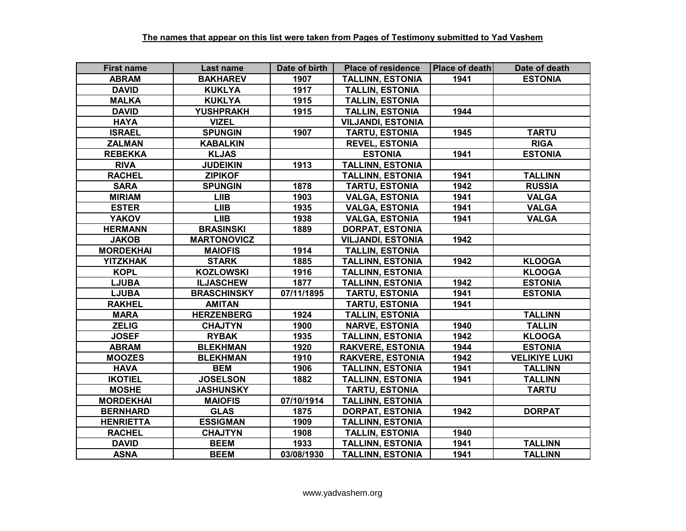| <b>First name</b> | Last name          | Date of birth | <b>Place of residence</b> | Place of death | Date of death        |
|-------------------|--------------------|---------------|---------------------------|----------------|----------------------|
| <b>ABRAM</b>      | <b>BAKHAREV</b>    | 1907          | <b>TALLINN, ESTONIA</b>   | 1941           | <b>ESTONIA</b>       |
| <b>DAVID</b>      | <b>KUKLYA</b>      | 1917          | <b>TALLIN, ESTONIA</b>    |                |                      |
| <b>MALKA</b>      | <b>KUKLYA</b>      | 1915          | <b>TALLIN, ESTONIA</b>    |                |                      |
| <b>DAVID</b>      | <b>YUSHPRAKH</b>   | 1915          | <b>TALLIN, ESTONIA</b>    | 1944           |                      |
| <b>HAYA</b>       | <b>VIZEL</b>       |               | <b>VILJANDI, ESTONIA</b>  |                |                      |
| <b>ISRAEL</b>     | <b>SPUNGIN</b>     | 1907          | <b>TARTU, ESTONIA</b>     | 1945           | <b>TARTU</b>         |
| <b>ZALMAN</b>     | <b>KABALKIN</b>    |               | <b>REVEL, ESTONIA</b>     |                | <b>RIGA</b>          |
| <b>REBEKKA</b>    | <b>KLJAS</b>       |               | <b>ESTONIA</b>            | 1941           | <b>ESTONIA</b>       |
| <b>RIVA</b>       | <b>JUDEIKIN</b>    | 1913          | <b>TALLINN, ESTONIA</b>   |                |                      |
| <b>RACHEL</b>     | <b>ZIPIKOF</b>     |               | <b>TALLINN, ESTONIA</b>   | 1941           | <b>TALLINN</b>       |
| <b>SARA</b>       | <b>SPUNGIN</b>     | 1878          | <b>TARTU, ESTONIA</b>     | 1942           | <b>RUSSIA</b>        |
| <b>MIRIAM</b>     | <b>LIIB</b>        | 1903          | <b>VALGA, ESTONIA</b>     | 1941           | <b>VALGA</b>         |
| <b>ESTER</b>      | <b>LIIB</b>        | 1935          | <b>VALGA, ESTONIA</b>     | 1941           | <b>VALGA</b>         |
| <b>YAKOV</b>      | <b>LIIB</b>        | 1938          | <b>VALGA, ESTONIA</b>     | 1941           | <b>VALGA</b>         |
| <b>HERMANN</b>    | <b>BRASINSKI</b>   | 1889          | <b>DORPAT, ESTONIA</b>    |                |                      |
| <b>JAKOB</b>      | <b>MARTONOVICZ</b> |               | <b>VILJANDI, ESTONIA</b>  | 1942           |                      |
| <b>MORDEKHAI</b>  | <b>MAIOFIS</b>     | 1914          | <b>TALLIN, ESTONIA</b>    |                |                      |
| <b>YITZKHAK</b>   | <b>STARK</b>       | 1885          | <b>TALLINN, ESTONIA</b>   | 1942           | <b>KLOOGA</b>        |
| <b>KOPL</b>       | <b>KOZLOWSKI</b>   | 1916          | <b>TALLINN, ESTONIA</b>   |                | <b>KLOOGA</b>        |
| <b>LJUBA</b>      | <b>ILJASCHEW</b>   | 1877          | <b>TALLINN, ESTONIA</b>   | 1942           | <b>ESTONIA</b>       |
| <b>LJUBA</b>      | <b>BRASCHINSKY</b> | 07/11/1895    | <b>TARTU, ESTONIA</b>     | 1941           | <b>ESTONIA</b>       |
| <b>RAKHEL</b>     | <b>AMITAN</b>      |               | <b>TARTU, ESTONIA</b>     | 1941           |                      |
| <b>MARA</b>       | <b>HERZENBERG</b>  | 1924          | <b>TALLIN, ESTONIA</b>    |                | <b>TALLINN</b>       |
| <b>ZELIG</b>      | <b>CHAJTYN</b>     | 1900          | <b>NARVE, ESTONIA</b>     | 1940           | <b>TALLIN</b>        |
| <b>JOSEF</b>      | <b>RYBAK</b>       | 1935          | <b>TALLINN, ESTONIA</b>   | 1942           | <b>KLOOGA</b>        |
| <b>ABRAM</b>      | <b>BLEKHMAN</b>    | 1920          | <b>RAKVERE, ESTONIA</b>   | 1944           | <b>ESTONIA</b>       |
| <b>MOOZES</b>     | <b>BLEKHMAN</b>    | 1910          | <b>RAKVERE, ESTONIA</b>   | 1942           | <b>VELIKIYE LUKI</b> |
| <b>HAVA</b>       | <b>BEM</b>         | 1906          | <b>TALLINN, ESTONIA</b>   | 1941           | <b>TALLINN</b>       |
| <b>IKOTIEL</b>    | <b>JOSELSON</b>    | 1882          | <b>TALLINN, ESTONIA</b>   | 1941           | <b>TALLINN</b>       |
| <b>MOSHE</b>      | <b>JASHUNSKY</b>   |               | <b>TARTU, ESTONIA</b>     |                | <b>TARTU</b>         |
| <b>MORDEKHAI</b>  | <b>MAIOFIS</b>     | 07/10/1914    | <b>TALLINN, ESTONIA</b>   |                |                      |
| <b>BERNHARD</b>   | <b>GLAS</b>        | 1875          | <b>DORPAT, ESTONIA</b>    | 1942           | <b>DORPAT</b>        |
| <b>HENRIETTA</b>  | <b>ESSIGMAN</b>    | 1909          | <b>TALLINN, ESTONIA</b>   |                |                      |
| <b>RACHEL</b>     | <b>CHAJTYN</b>     | 1908          | <b>TALLIN, ESTONIA</b>    | 1940           |                      |
| <b>DAVID</b>      | <b>BEEM</b>        | 1933          | <b>TALLINN, ESTONIA</b>   | 1941           | <b>TALLINN</b>       |
| <b>ASNA</b>       | <b>BEEM</b>        | 03/08/1930    | <b>TALLINN, ESTONIA</b>   | 1941           | <b>TALLINN</b>       |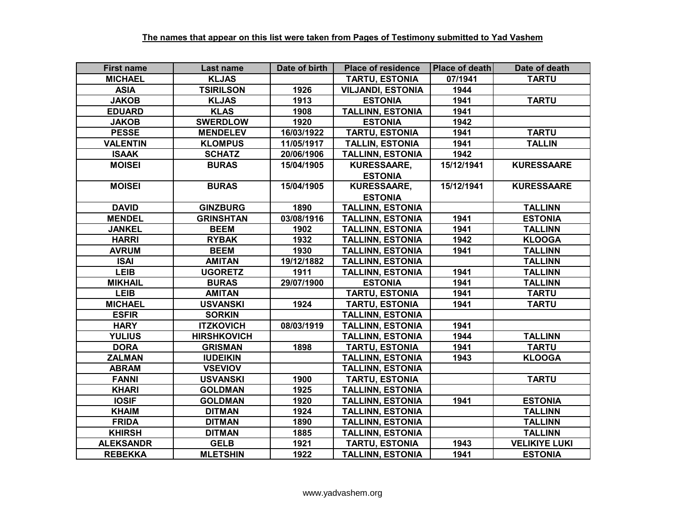| <b>First name</b> | Last name          | Date of birth | <b>Place of residence</b> | Place of death | Date of death        |
|-------------------|--------------------|---------------|---------------------------|----------------|----------------------|
| <b>MICHAEL</b>    | <b>KLJAS</b>       |               | <b>TARTU, ESTONIA</b>     | 07/1941        | <b>TARTU</b>         |
| <b>ASIA</b>       | <b>TSIRILSON</b>   | 1926          | <b>VILJANDI, ESTONIA</b>  | 1944           |                      |
| <b>JAKOB</b>      | <b>KLJAS</b>       | 1913          | <b>ESTONIA</b>            | 1941           | <b>TARTU</b>         |
| <b>EDUARD</b>     | <b>KLAS</b>        | 1908          | <b>TALLINN, ESTONIA</b>   | 1941           |                      |
| <b>JAKOB</b>      | <b>SWERDLOW</b>    | 1920          | <b>ESTONIA</b>            | 1942           |                      |
| <b>PESSE</b>      | <b>MENDELEV</b>    | 16/03/1922    | <b>TARTU, ESTONIA</b>     | 1941           | <b>TARTU</b>         |
| <b>VALENTIN</b>   | <b>KLOMPUS</b>     | 11/05/1917    | <b>TALLIN, ESTONIA</b>    | 1941           | <b>TALLIN</b>        |
| <b>ISAAK</b>      | <b>SCHATZ</b>      | 20/06/1906    | <b>TALLINN, ESTONIA</b>   | 1942           |                      |
| <b>MOISEI</b>     | <b>BURAS</b>       | 15/04/1905    | KURESSAARE,               | 15/12/1941     | <b>KURESSAARE</b>    |
|                   |                    |               | <b>ESTONIA</b>            |                |                      |
| <b>MOISEI</b>     | <b>BURAS</b>       | 15/04/1905    | KURESSAARE,               | 15/12/1941     | <b>KURESSAARE</b>    |
|                   |                    |               | <b>ESTONIA</b>            |                |                      |
| <b>DAVID</b>      | <b>GINZBURG</b>    | 1890          | <b>TALLINN, ESTONIA</b>   |                | <b>TALLINN</b>       |
| <b>MENDEL</b>     | <b>GRINSHTAN</b>   | 03/08/1916    | <b>TALLINN, ESTONIA</b>   | 1941           | <b>ESTONIA</b>       |
| <b>JANKEL</b>     | <b>BEEM</b>        | 1902          | <b>TALLINN, ESTONIA</b>   | 1941           | <b>TALLINN</b>       |
| <b>HARRI</b>      | <b>RYBAK</b>       | 1932          | <b>TALLINN, ESTONIA</b>   | 1942           | <b>KLOOGA</b>        |
| <b>AVRUM</b>      | <b>BEEM</b>        | 1930          | <b>TALLINN, ESTONIA</b>   | 1941           | <b>TALLINN</b>       |
| <b>ISAI</b>       | <b>AMITAN</b>      | 19/12/1882    | <b>TALLINN, ESTONIA</b>   |                | <b>TALLINN</b>       |
| <b>LEIB</b>       | <b>UGORETZ</b>     | 1911          | <b>TALLINN, ESTONIA</b>   | 1941           | <b>TALLINN</b>       |
| <b>MIKHAIL</b>    | <b>BURAS</b>       | 29/07/1900    | <b>ESTONIA</b>            | 1941           | <b>TALLINN</b>       |
| <b>LEIB</b>       | <b>AMITAN</b>      |               | <b>TARTU, ESTONIA</b>     | 1941           | <b>TARTU</b>         |
| <b>MICHAEL</b>    | <b>USVANSKI</b>    | 1924          | <b>TARTU, ESTONIA</b>     | 1941           | <b>TARTU</b>         |
| <b>ESFIR</b>      | <b>SORKIN</b>      |               | <b>TALLINN, ESTONIA</b>   |                |                      |
| <b>HARY</b>       | <b>ITZKOVICH</b>   | 08/03/1919    | <b>TALLINN, ESTONIA</b>   | 1941           |                      |
| <b>YULIUS</b>     | <b>HIRSHKOVICH</b> |               | <b>TALLINN, ESTONIA</b>   | 1944           | <b>TALLINN</b>       |
| <b>DORA</b>       | <b>GRISMAN</b>     | 1898          | <b>TARTU, ESTONIA</b>     | 1941           | <b>TARTU</b>         |
| <b>ZALMAN</b>     | <b>IUDEIKIN</b>    |               | <b>TALLINN, ESTONIA</b>   | 1943           | <b>KLOOGA</b>        |
| <b>ABRAM</b>      | <b>VSEVIOV</b>     |               | <b>TALLINN, ESTONIA</b>   |                |                      |
| <b>FANNI</b>      | <b>USVANSKI</b>    | 1900          | <b>TARTU, ESTONIA</b>     |                | <b>TARTU</b>         |
| <b>KHARI</b>      | <b>GOLDMAN</b>     | 1925          | <b>TALLINN, ESTONIA</b>   |                |                      |
| <b>IOSIF</b>      | <b>GOLDMAN</b>     | 1920          | <b>TALLINN, ESTONIA</b>   | 1941           | <b>ESTONIA</b>       |
| <b>KHAIM</b>      | <b>DITMAN</b>      | 1924          | <b>TALLINN, ESTONIA</b>   |                | <b>TALLINN</b>       |
| <b>FRIDA</b>      | <b>DITMAN</b>      | 1890          | <b>TALLINN, ESTONIA</b>   |                | <b>TALLINN</b>       |
| <b>KHIRSH</b>     | <b>DITMAN</b>      | 1885          | <b>TALLINN, ESTONIA</b>   |                | <b>TALLINN</b>       |
| <b>ALEKSANDR</b>  | <b>GELB</b>        | 1921          | <b>TARTU, ESTONIA</b>     | 1943           | <b>VELIKIYE LUKI</b> |
| <b>REBEKKA</b>    | <b>MLETSHIN</b>    | 1922          | <b>TALLINN, ESTONIA</b>   | 1941           | <b>ESTONIA</b>       |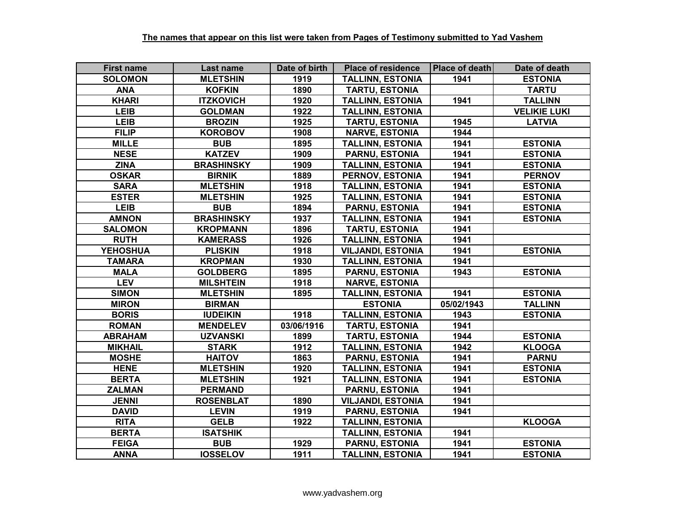| <b>First name</b> | Last name         | Date of birth | <b>Place of residence</b> | Place of death | Date of death       |
|-------------------|-------------------|---------------|---------------------------|----------------|---------------------|
| <b>SOLOMON</b>    | <b>MLETSHIN</b>   | 1919          | <b>TALLINN, ESTONIA</b>   | 1941           | <b>ESTONIA</b>      |
| <b>ANA</b>        | <b>KOFKIN</b>     | 1890          | <b>TARTU, ESTONIA</b>     |                | <b>TARTU</b>        |
| <b>KHARI</b>      | <b>ITZKOVICH</b>  | 1920          | <b>TALLINN, ESTONIA</b>   | 1941           | <b>TALLINN</b>      |
| <b>LEIB</b>       | <b>GOLDMAN</b>    | 1922          | <b>TALLINN, ESTONIA</b>   |                | <b>VELIKIE LUKI</b> |
| <b>LEIB</b>       | <b>BROZIN</b>     | 1925          | <b>TARTU, ESTONIA</b>     | 1945           | <b>LATVIA</b>       |
| <b>FILIP</b>      | <b>KOROBOV</b>    | 1908          | <b>NARVE, ESTONIA</b>     | 1944           |                     |
| <b>MILLE</b>      | <b>BUB</b>        | 1895          | <b>TALLINN, ESTONIA</b>   | 1941           | <b>ESTONIA</b>      |
| <b>NESE</b>       | <b>KATZEV</b>     | 1909          | <b>PARNU, ESTONIA</b>     | 1941           | <b>ESTONIA</b>      |
| <b>ZINA</b>       | <b>BRASHINSKY</b> | 1909          | <b>TALLINN, ESTONIA</b>   | 1941           | <b>ESTONIA</b>      |
| <b>OSKAR</b>      | <b>BIRNIK</b>     | 1889          | PERNOV, ESTONIA           | 1941           | <b>PERNOV</b>       |
| <b>SARA</b>       | <b>MLETSHIN</b>   | 1918          | <b>TALLINN, ESTONIA</b>   | 1941           | <b>ESTONIA</b>      |
| <b>ESTER</b>      | <b>MLETSHIN</b>   | 1925          | <b>TALLINN, ESTONIA</b>   | 1941           | <b>ESTONIA</b>      |
| <b>LEIB</b>       | <b>BUB</b>        | 1894          | <b>PARNU, ESTONIA</b>     | 1941           | <b>ESTONIA</b>      |
| <b>AMNON</b>      | <b>BRASHINSKY</b> | 1937          | <b>TALLINN, ESTONIA</b>   | 1941           | <b>ESTONIA</b>      |
| <b>SALOMON</b>    | <b>KROPMANN</b>   | 1896          | <b>TARTU, ESTONIA</b>     | 1941           |                     |
| <b>RUTH</b>       | <b>KAMERASS</b>   | 1926          | <b>TALLINN, ESTONIA</b>   | 1941           |                     |
| <b>YEHOSHUA</b>   | <b>PLISKIN</b>    | 1918          | <b>VILJANDI, ESTONIA</b>  | 1941           | <b>ESTONIA</b>      |
| <b>TAMARA</b>     | <b>KROPMAN</b>    | 1930          | <b>TALLINN, ESTONIA</b>   | 1941           |                     |
| <b>MALA</b>       | <b>GOLDBERG</b>   | 1895          | <b>PARNU, ESTONIA</b>     | 1943           | <b>ESTONIA</b>      |
| <b>LEV</b>        | <b>MILSHTEIN</b>  | 1918          | <b>NARVE, ESTONIA</b>     |                |                     |
| <b>SIMON</b>      | <b>MLETSHIN</b>   | 1895          | <b>TALLINN, ESTONIA</b>   | 1941           | <b>ESTONIA</b>      |
| <b>MIRON</b>      | <b>BIRMAN</b>     |               | <b>ESTONIA</b>            | 05/02/1943     | <b>TALLINN</b>      |
| <b>BORIS</b>      | <b>IUDEIKIN</b>   | 1918          | <b>TALLINN, ESTONIA</b>   | 1943           | <b>ESTONIA</b>      |
| <b>ROMAN</b>      | <b>MENDELEV</b>   | 03/06/1916    | <b>TARTU, ESTONIA</b>     | 1941           |                     |
| <b>ABRAHAM</b>    | <b>UZVANSKI</b>   | 1899          | <b>TARTU, ESTONIA</b>     | 1944           | <b>ESTONIA</b>      |
| <b>MIKHAIL</b>    | <b>STARK</b>      | 1912          | <b>TALLINN, ESTONIA</b>   | 1942           | <b>KLOOGA</b>       |
| <b>MOSHE</b>      | <b>HAITOV</b>     | 1863          | <b>PARNU, ESTONIA</b>     | 1941           | <b>PARNU</b>        |
| <b>HENE</b>       | <b>MLETSHIN</b>   | 1920          | <b>TALLINN, ESTONIA</b>   | 1941           | <b>ESTONIA</b>      |
| <b>BERTA</b>      | <b>MLETSHIN</b>   | 1921          | <b>TALLINN, ESTONIA</b>   | 1941           | <b>ESTONIA</b>      |
| <b>ZALMAN</b>     | <b>PERMAND</b>    |               | <b>PARNU, ESTONIA</b>     | 1941           |                     |
| <b>JENNI</b>      | <b>ROSENBLAT</b>  | 1890          | <b>VILJANDI, ESTONIA</b>  | 1941           |                     |
| <b>DAVID</b>      | <b>LEVIN</b>      | 1919          | <b>PARNU, ESTONIA</b>     | 1941           |                     |
| <b>RITA</b>       | <b>GELB</b>       | 1922          | <b>TALLINN, ESTONIA</b>   |                | <b>KLOOGA</b>       |
| <b>BERTA</b>      | <b>ISATSHIK</b>   |               | <b>TALLINN, ESTONIA</b>   | 1941           |                     |
| <b>FEIGA</b>      | <b>BUB</b>        | 1929          | <b>PARNU, ESTONIA</b>     | 1941           | <b>ESTONIA</b>      |
| <b>ANNA</b>       | <b>IOSSELOV</b>   | 1911          | <b>TALLINN, ESTONIA</b>   | 1941           | <b>ESTONIA</b>      |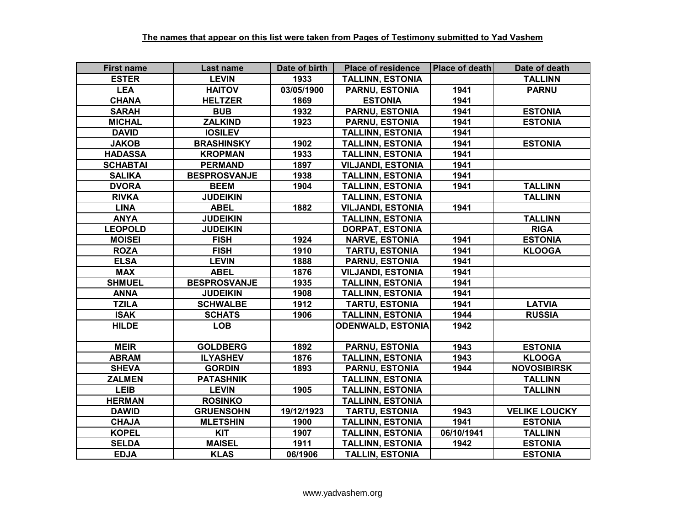| <b>First name</b> | Last name           | Date of birth | <b>Place of residence</b> | Place of death | Date of death        |
|-------------------|---------------------|---------------|---------------------------|----------------|----------------------|
| <b>ESTER</b>      | <b>LEVIN</b>        | 1933          | <b>TALLINN, ESTONIA</b>   |                | <b>TALLINN</b>       |
| <b>LEA</b>        | <b>HAITOV</b>       | 03/05/1900    | <b>PARNU, ESTONIA</b>     | 1941           | <b>PARNU</b>         |
| <b>CHANA</b>      | <b>HELTZER</b>      | 1869          | <b>ESTONIA</b>            | 1941           |                      |
| <b>SARAH</b>      | <b>BUB</b>          | 1932          | PARNU, ESTONIA            | 1941           | <b>ESTONIA</b>       |
| <b>MICHAL</b>     | <b>ZALKIND</b>      | 1923          | <b>PARNU, ESTONIA</b>     | 1941           | <b>ESTONIA</b>       |
| <b>DAVID</b>      | <b>IOSILEV</b>      |               | <b>TALLINN, ESTONIA</b>   | 1941           |                      |
| <b>JAKOB</b>      | <b>BRASHINSKY</b>   | 1902          | <b>TALLINN, ESTONIA</b>   | 1941           | <b>ESTONIA</b>       |
| <b>HADASSA</b>    | <b>KROPMAN</b>      | 1933          | <b>TALLINN, ESTONIA</b>   | 1941           |                      |
| <b>SCHABTAI</b>   | <b>PERMAND</b>      | 1897          | <b>VILJANDI, ESTONIA</b>  | 1941           |                      |
| <b>SALIKA</b>     | <b>BESPROSVANJE</b> | 1938          | <b>TALLINN, ESTONIA</b>   | 1941           |                      |
| <b>DVORA</b>      | <b>BEEM</b>         | 1904          | <b>TALLINN, ESTONIA</b>   | 1941           | <b>TALLINN</b>       |
| <b>RIVKA</b>      | <b>JUDEIKIN</b>     |               | <b>TALLINN, ESTONIA</b>   |                | <b>TALLINN</b>       |
| <b>LINA</b>       | <b>ABEL</b>         | 1882          | <b>VILJANDI, ESTONIA</b>  | 1941           |                      |
| <b>ANYA</b>       | <b>JUDEIKIN</b>     |               | <b>TALLINN, ESTONIA</b>   |                | <b>TALLINN</b>       |
| <b>LEOPOLD</b>    | <b>JUDEIKIN</b>     |               | <b>DORPAT, ESTONIA</b>    |                | <b>RIGA</b>          |
| <b>MOISEI</b>     | <b>FISH</b>         | 1924          | <b>NARVE, ESTONIA</b>     | 1941           | <b>ESTONIA</b>       |
| <b>ROZA</b>       | <b>FISH</b>         | 1910          | <b>TARTU, ESTONIA</b>     | 1941           | <b>KLOOGA</b>        |
| <b>ELSA</b>       | <b>LEVIN</b>        | 1888          | <b>PARNU, ESTONIA</b>     | 1941           |                      |
| <b>MAX</b>        | <b>ABEL</b>         | 1876          | <b>VILJANDI, ESTONIA</b>  | 1941           |                      |
| <b>SHMUEL</b>     | <b>BESPROSVANJE</b> | 1935          | <b>TALLINN, ESTONIA</b>   | 1941           |                      |
| <b>ANNA</b>       | <b>JUDEIKIN</b>     | 1908          | <b>TALLINN, ESTONIA</b>   | 1941           |                      |
| <b>TZILA</b>      | <b>SCHWALBE</b>     | 1912          | <b>TARTU, ESTONIA</b>     | 1941           | <b>LATVIA</b>        |
| <b>ISAK</b>       | <b>SCHATS</b>       | 1906          | <b>TALLINN, ESTONIA</b>   | 1944           | <b>RUSSIA</b>        |
| <b>HILDE</b>      | <b>LOB</b>          |               | <b>ODENWALD, ESTONIA</b>  | 1942           |                      |
| <b>MEIR</b>       | <b>GOLDBERG</b>     | 1892          | <b>PARNU, ESTONIA</b>     | 1943           | <b>ESTONIA</b>       |
| <b>ABRAM</b>      | <b>ILYASHEV</b>     | 1876          | <b>TALLINN, ESTONIA</b>   | 1943           | <b>KLOOGA</b>        |
| <b>SHEVA</b>      | <b>GORDIN</b>       | 1893          | <b>PARNU, ESTONIA</b>     | 1944           | <b>NOVOSIBIRSK</b>   |
| <b>ZALMEN</b>     | <b>PATASHNIK</b>    |               | <b>TALLINN, ESTONIA</b>   |                | <b>TALLINN</b>       |
| <b>LEIB</b>       | <b>LEVIN</b>        | 1905          | <b>TALLINN, ESTONIA</b>   |                | <b>TALLINN</b>       |
| <b>HERMAN</b>     | <b>ROSINKO</b>      |               | <b>TALLINN, ESTONIA</b>   |                |                      |
| <b>DAWID</b>      | <b>GRUENSOHN</b>    | 19/12/1923    | <b>TARTU, ESTONIA</b>     | 1943           | <b>VELIKE LOUCKY</b> |
| <b>CHAJA</b>      | <b>MLETSHIN</b>     | 1900          | <b>TALLINN, ESTONIA</b>   | 1941           | <b>ESTONIA</b>       |
| <b>KOPEL</b>      | <b>KIT</b>          | 1907          | <b>TALLINN, ESTONIA</b>   | 06/10/1941     | <b>TALLINN</b>       |
| <b>SELDA</b>      | <b>MAISEL</b>       | 1911          | <b>TALLINN, ESTONIA</b>   | 1942           | <b>ESTONIA</b>       |
| <b>EDJA</b>       | <b>KLAS</b>         | 06/1906       | <b>TALLIN, ESTONIA</b>    |                | <b>ESTONIA</b>       |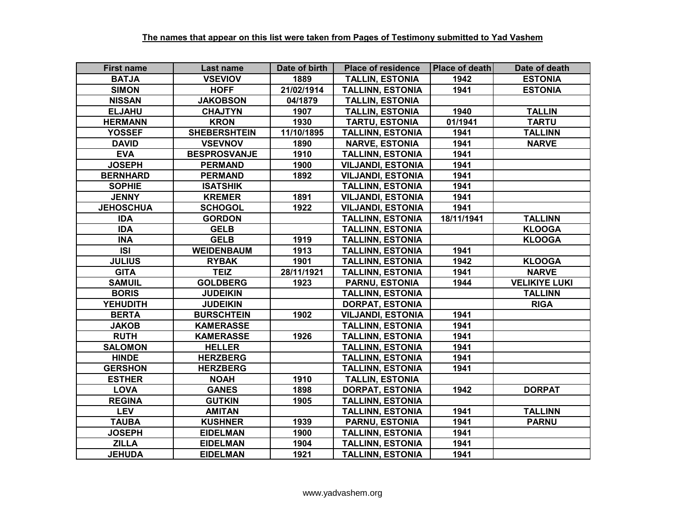| <b>First name</b> | Last name           | Date of birth | <b>Place of residence</b> | Place of death | Date of death        |
|-------------------|---------------------|---------------|---------------------------|----------------|----------------------|
| <b>BATJA</b>      | <b>VSEVIOV</b>      | 1889          | <b>TALLIN, ESTONIA</b>    | 1942           | <b>ESTONIA</b>       |
| <b>SIMON</b>      | <b>HOFF</b>         | 21/02/1914    | <b>TALLINN, ESTONIA</b>   | 1941           | <b>ESTONIA</b>       |
| <b>NISSAN</b>     | <b>JAKOBSON</b>     | 04/1879       | <b>TALLIN, ESTONIA</b>    |                |                      |
| <b>ELJAHU</b>     | <b>CHAJTYN</b>      | 1907          | <b>TALLIN, ESTONIA</b>    | 1940           | <b>TALLIN</b>        |
| <b>HERMANN</b>    | <b>KRON</b>         | 1930          | <b>TARTU, ESTONIA</b>     | 01/1941        | <b>TARTU</b>         |
| <b>YOSSEF</b>     | <b>SHEBERSHTEIN</b> | 11/10/1895    | <b>TALLINN, ESTONIA</b>   | 1941           | <b>TALLINN</b>       |
| <b>DAVID</b>      | <b>VSEVNOV</b>      | 1890          | <b>NARVE, ESTONIA</b>     | 1941           | <b>NARVE</b>         |
| <b>EVA</b>        | <b>BESPROSVANJE</b> | 1910          | <b>TALLINN, ESTONIA</b>   | 1941           |                      |
| <b>JOSEPH</b>     | <b>PERMAND</b>      | 1900          | <b>VILJANDI, ESTONIA</b>  | 1941           |                      |
| <b>BERNHARD</b>   | <b>PERMAND</b>      | 1892          | <b>VILJANDI, ESTONIA</b>  | 1941           |                      |
| <b>SOPHIE</b>     | <b>ISATSHIK</b>     |               | <b>TALLINN, ESTONIA</b>   | 1941           |                      |
| <b>JENNY</b>      | <b>KREMER</b>       | 1891          | <b>VILJANDI, ESTONIA</b>  | 1941           |                      |
| <b>JEHOSCHUA</b>  | <b>SCHOGOL</b>      | 1922          | <b>VILJANDI, ESTONIA</b>  | 1941           |                      |
| <b>IDA</b>        | <b>GORDON</b>       |               | <b>TALLINN, ESTONIA</b>   | 18/11/1941     | <b>TALLINN</b>       |
| <b>IDA</b>        | <b>GELB</b>         |               | <b>TALLINN, ESTONIA</b>   |                | <b>KLOOGA</b>        |
| <b>INA</b>        | <b>GELB</b>         | 1919          | <b>TALLINN, ESTONIA</b>   |                | <b>KLOOGA</b>        |
| <b>ISI</b>        | <b>WEIDENBAUM</b>   | 1913          | <b>TALLINN, ESTONIA</b>   | 1941           |                      |
| <b>JULIUS</b>     | <b>RYBAK</b>        | 1901          | <b>TALLINN, ESTONIA</b>   | 1942           | <b>KLOOGA</b>        |
| <b>GITA</b>       | <b>TEIZ</b>         | 28/11/1921    | <b>TALLINN, ESTONIA</b>   | 1941           | <b>NARVE</b>         |
| <b>SAMUIL</b>     | <b>GOLDBERG</b>     | 1923          | <b>PARNU, ESTONIA</b>     | 1944           | <b>VELIKIYE LUKI</b> |
| <b>BORIS</b>      | <b>JUDEIKIN</b>     |               | <b>TALLINN, ESTONIA</b>   |                | <b>TALLINN</b>       |
| <b>YEHUDITH</b>   | <b>JUDEIKIN</b>     |               | <b>DORPAT, ESTONIA</b>    |                | <b>RIGA</b>          |
| <b>BERTA</b>      | <b>BURSCHTEIN</b>   | 1902          | <b>VILJANDI, ESTONIA</b>  | 1941           |                      |
| <b>JAKOB</b>      | <b>KAMERASSE</b>    |               | <b>TALLINN, ESTONIA</b>   | 1941           |                      |
| <b>RUTH</b>       | <b>KAMERASSE</b>    | 1926          | <b>TALLINN, ESTONIA</b>   | 1941           |                      |
| <b>SALOMON</b>    | <b>HELLER</b>       |               | <b>TALLINN, ESTONIA</b>   | 1941           |                      |
| <b>HINDE</b>      | <b>HERZBERG</b>     |               | <b>TALLINN, ESTONIA</b>   | 1941           |                      |
| <b>GERSHON</b>    | <b>HERZBERG</b>     |               | <b>TALLINN, ESTONIA</b>   | 1941           |                      |
| <b>ESTHER</b>     | <b>NOAH</b>         | 1910          | <b>TALLIN, ESTONIA</b>    |                |                      |
| <b>LOVA</b>       | <b>GANES</b>        | 1898          | <b>DORPAT, ESTONIA</b>    | 1942           | <b>DORPAT</b>        |
| <b>REGINA</b>     | <b>GUTKIN</b>       | 1905          | <b>TALLINN, ESTONIA</b>   |                |                      |
| <b>LEV</b>        | <b>AMITAN</b>       |               | <b>TALLINN, ESTONIA</b>   | 1941           | <b>TALLINN</b>       |
| <b>TAUBA</b>      | <b>KUSHNER</b>      | 1939          | <b>PARNU, ESTONIA</b>     | 1941           | <b>PARNU</b>         |
| <b>JOSEPH</b>     | <b>EIDELMAN</b>     | 1900          | <b>TALLINN, ESTONIA</b>   | 1941           |                      |
| <b>ZILLA</b>      | <b>EIDELMAN</b>     | 1904          | <b>TALLINN, ESTONIA</b>   | 1941           |                      |
| <b>JEHUDA</b>     | <b>EIDELMAN</b>     | 1921          | <b>TALLINN, ESTONIA</b>   | 1941           |                      |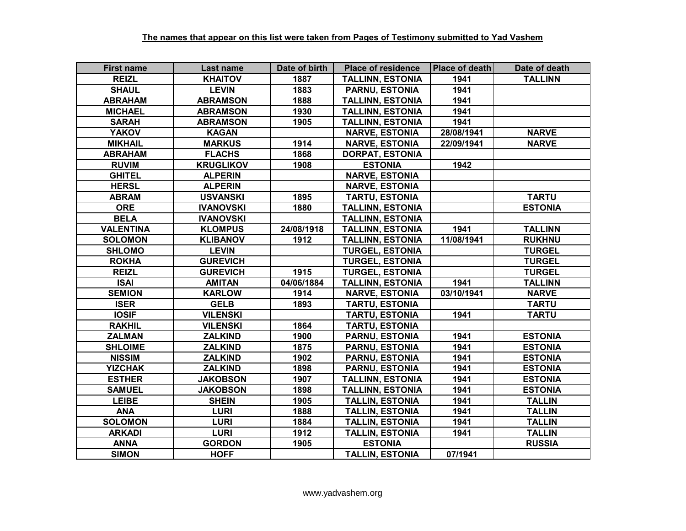| <b>First name</b> | Last name        | Date of birth | <b>Place of residence</b> | <b>Place of death</b> | Date of death  |
|-------------------|------------------|---------------|---------------------------|-----------------------|----------------|
| <b>REIZL</b>      | <b>KHAITOV</b>   | 1887          | <b>TALLINN, ESTONIA</b>   | 1941                  | <b>TALLINN</b> |
| <b>SHAUL</b>      | <b>LEVIN</b>     | 1883          | <b>PARNU, ESTONIA</b>     | 1941                  |                |
| <b>ABRAHAM</b>    | <b>ABRAMSON</b>  | 1888          | <b>TALLINN, ESTONIA</b>   | 1941                  |                |
| <b>MICHAEL</b>    | <b>ABRAMSON</b>  | 1930          | <b>TALLINN, ESTONIA</b>   | 1941                  |                |
| <b>SARAH</b>      | <b>ABRAMSON</b>  | 1905          | <b>TALLINN, ESTONIA</b>   | 1941                  |                |
| <b>YAKOV</b>      | <b>KAGAN</b>     |               | <b>NARVE, ESTONIA</b>     | 28/08/1941            | <b>NARVE</b>   |
| <b>MIKHAIL</b>    | <b>MARKUS</b>    | 1914          | <b>NARVE, ESTONIA</b>     | 22/09/1941            | <b>NARVE</b>   |
| <b>ABRAHAM</b>    | <b>FLACHS</b>    | 1868          | <b>DORPAT, ESTONIA</b>    |                       |                |
| <b>RUVIM</b>      | <b>KRUGLIKOV</b> | 1908          | <b>ESTONIA</b>            | 1942                  |                |
| <b>GHITEL</b>     | <b>ALPERIN</b>   |               | <b>NARVE, ESTONIA</b>     |                       |                |
| <b>HERSL</b>      | <b>ALPERIN</b>   |               | <b>NARVE, ESTONIA</b>     |                       |                |
| <b>ABRAM</b>      | <b>USVANSKI</b>  | 1895          | <b>TARTU, ESTONIA</b>     |                       | <b>TARTU</b>   |
| <b>ORE</b>        | <b>IVANOVSKI</b> | 1880          | <b>TALLINN, ESTONIA</b>   |                       | <b>ESTONIA</b> |
| <b>BELA</b>       | <b>IVANOVSKI</b> |               | <b>TALLINN, ESTONIA</b>   |                       |                |
| <b>VALENTINA</b>  | <b>KLOMPUS</b>   | 24/08/1918    | <b>TALLINN, ESTONIA</b>   | 1941                  | <b>TALLINN</b> |
| <b>SOLOMON</b>    | <b>KLIBANOV</b>  | 1912          | <b>TALLINN, ESTONIA</b>   | 11/08/1941            | <b>RUKHNU</b>  |
| <b>SHLOMO</b>     | <b>LEVIN</b>     |               | <b>TURGEL, ESTONIA</b>    |                       | <b>TURGEL</b>  |
| <b>ROKHA</b>      | <b>GUREVICH</b>  |               | <b>TURGEL, ESTONIA</b>    |                       | <b>TURGEL</b>  |
| <b>REIZL</b>      | <b>GUREVICH</b>  | 1915          | <b>TURGEL, ESTONIA</b>    |                       | <b>TURGEL</b>  |
| <b>ISAI</b>       | <b>AMITAN</b>    | 04/06/1884    | <b>TALLINN, ESTONIA</b>   | 1941                  | <b>TALLINN</b> |
| <b>SEMION</b>     | <b>KARLOW</b>    | 1914          | <b>NARVE, ESTONIA</b>     | 03/10/1941            | <b>NARVE</b>   |
| <b>ISER</b>       | <b>GELB</b>      | 1893          | <b>TARTU, ESTONIA</b>     |                       | <b>TARTU</b>   |
| <b>IOSIF</b>      | <b>VILENSKI</b>  |               | <b>TARTU, ESTONIA</b>     | 1941                  | <b>TARTU</b>   |
| <b>RAKHIL</b>     | <b>VILENSKI</b>  | 1864          | <b>TARTU, ESTONIA</b>     |                       |                |
| <b>ZALMAN</b>     | <b>ZALKIND</b>   | 1900          | <b>PARNU, ESTONIA</b>     | 1941                  | <b>ESTONIA</b> |
| <b>SHLOIME</b>    | <b>ZALKIND</b>   | 1875          | <b>PARNU, ESTONIA</b>     | 1941                  | <b>ESTONIA</b> |
| <b>NISSIM</b>     | <b>ZALKIND</b>   | 1902          | <b>PARNU, ESTONIA</b>     | 1941                  | <b>ESTONIA</b> |
| <b>YIZCHAK</b>    | <b>ZALKIND</b>   | 1898          | <b>PARNU, ESTONIA</b>     | 1941                  | <b>ESTONIA</b> |
| <b>ESTHER</b>     | <b>JAKOBSON</b>  | 1907          | <b>TALLINN, ESTONIA</b>   | 1941                  | <b>ESTONIA</b> |
| <b>SAMUEL</b>     | <b>JAKOBSON</b>  | 1898          | <b>TALLINN, ESTONIA</b>   | 1941                  | <b>ESTONIA</b> |
| <b>LEIBE</b>      | <b>SHEIN</b>     | 1905          | <b>TALLIN, ESTONIA</b>    | 1941                  | <b>TALLIN</b>  |
| <b>ANA</b>        | <b>LURI</b>      | 1888          | <b>TALLIN, ESTONIA</b>    | 1941                  | <b>TALLIN</b>  |
| <b>SOLOMON</b>    | <b>LURI</b>      | 1884          | <b>TALLIN, ESTONIA</b>    | 1941                  | <b>TALLIN</b>  |
| <b>ARKADI</b>     | <b>LURI</b>      | 1912          | <b>TALLIN, ESTONIA</b>    | 1941                  | <b>TALLIN</b>  |
| <b>ANNA</b>       | <b>GORDON</b>    | 1905          | <b>ESTONIA</b>            |                       | <b>RUSSIA</b>  |
| <b>SIMON</b>      | <b>HOFF</b>      |               | <b>TALLIN. ESTONIA</b>    | 07/1941               |                |